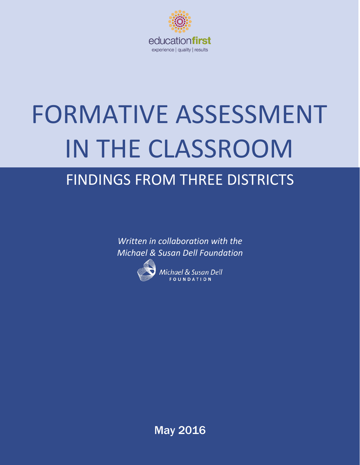

# FORMATIVE ASSESSMENT IN THE CLASSROOM

# FINDINGS FROM THREE DISTRICTS

*Written in collaboration with the Michael & Susan Dell Foundation*



Michael & Susan Dell FOUNDATION

May 2016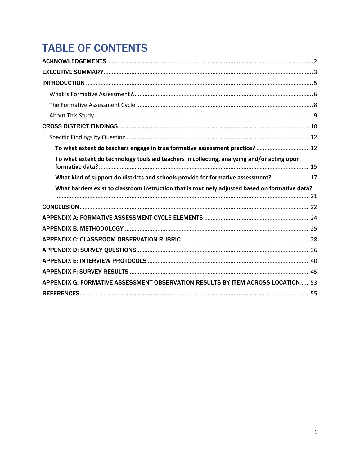# **TABLE OF CONTENTS**

| To what extent do teachers engage in true formative assessment practice?  12                     |  |
|--------------------------------------------------------------------------------------------------|--|
| To what extent do technology tools aid teachers in collecting, analyzing and/or acting upon      |  |
| What kind of support do districts and schools provide for formative assessment?  17              |  |
|                                                                                                  |  |
| What barriers exist to classroom instruction that is routinely adjusted based on formative data? |  |
|                                                                                                  |  |
|                                                                                                  |  |
|                                                                                                  |  |
|                                                                                                  |  |
|                                                                                                  |  |
|                                                                                                  |  |
|                                                                                                  |  |
|                                                                                                  |  |
| APPENDIX G: FORMATIVE ASSESSMENT OBSERVATION RESULTS BY ITEM ACROSS LOCATION53                   |  |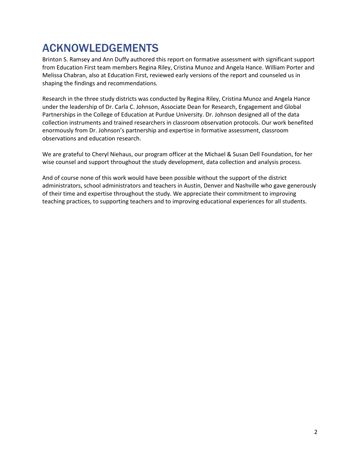# <span id="page-2-0"></span>ACKNOWLEDGEMENTS

Brinton S. Ramsey and Ann Duffy authored this report on formative assessment with significant support from Education First team members Regina Riley, Cristina Munoz and Angela Hance. William Porter and Melissa Chabran, also at Education First, reviewed early versions of the report and counseled us in shaping the findings and recommendations.

Research in the three study districts was conducted by Regina Riley, Cristina Munoz and Angela Hance under the leadership of Dr. Carla C. Johnson, Associate Dean for Research, Engagement and Global Partnerships in the College of Education at Purdue University. Dr. Johnson designed all of the data collection instruments and trained researchers in classroom observation protocols. Our work benefited enormously from Dr. Johnson's partnership and expertise in formative assessment, classroom observations and education research.

We are grateful to Cheryl Niehaus, our program officer at the Michael & Susan Dell Foundation, for her wise counsel and support throughout the study development, data collection and analysis process.

And of course none of this work would have been possible without the support of the district administrators, school administrators and teachers in Austin, Denver and Nashville who gave generously of their time and expertise throughout the study. We appreciate their commitment to improving teaching practices, to supporting teachers and to improving educational experiences for all students.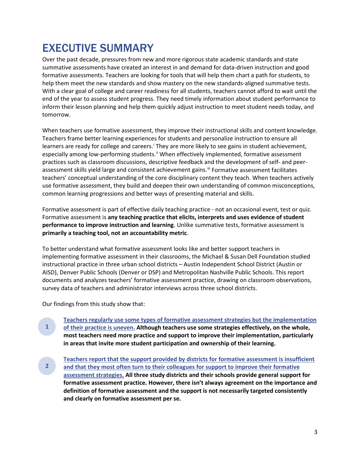# <span id="page-3-0"></span>EXECUTIVE SUMMARY

Over the past decade, pressures from new and more rigorous state academic standards and state summative assessments have created an interest in and demand for data-driven instruction and good formative assessments. Teachers are looking for tools that will help them chart a path for students, to help them meet the new standards and show mastery on the new standards-aligned summative tests. With a clear goal of college and career readiness for all students, teachers cannot afford to wait until the end of the year to assess student progress. They need timely information about student performance to inform their lesson planning and help them quickly adjust instruction to meet student needs today, and tomorrow.

When teachers use formative assessment, they improve their instructional skills and content knowledge. Teachers frame better learning experiences for students and personalize instruction to ensure all learners are ready for college and careers.<sup>1</sup> They are more l[i](#page-55-1)kely to see gains in student achievement, especially among low-performing students.<sup>[ii](#page-55-2)</sup> When effectively implemented, formative assessment practices such as classroom discussions, descriptive feedback and the development of self- and peerassessment skills yield large and consistent achievement gains.<sup>[iii](#page-55-3)</sup> Formative assessment facilitates teachers' conceptual understanding of the core disciplinary content they teach. When teachers actively use formative assessment, they build and deepen their own understanding of common misconceptions, common learning progressions and better ways of presenting material and skills.

Formative assessment is part of effective daily teaching practice - not an occasional event, test or quiz. Formative assessment is **any teaching practice that elicits, interprets and uses evidence of student performance to improve instruction and learning**. Unlike summative tests, formative assessment is **primarily a teaching tool, not an accountability metric**.

To better understand what formative assessment looks like and better support teachers in implementing formative assessment in their classrooms, the Michael & Susan Dell Foundation studied instructional practice in three urban school districts – Austin Independent School District (Austin or AISD), Denver Public Schools (Denver or DSP) and Metropolitan Nashville Public Schools. This report documents and analyzes teachers' formative assessment practice, drawing on classroom observations, survey data of teachers and administrator interviews across three school districts.

Our findings from this study show that:

- **Teachers regularly use some types [of formative assessment strategies but the implementation](#page-12-2) [of their practice is uneven.](#page-12-2) Although teachers use some strategies effectively, on the whole, most teachers need more practice and support to improve their implementation, particularly in areas that invite more student participation and ownership of their learning. 1**
- **[Teachers report that the support provided by districts](#page-15-1) for formative assessment is insufficient [and that they most often turn to their colleagues for support to improve their formative](#page-15-1)  [assessment strategies.](#page-15-1) All three study districts and their schools provide general support for formative assessment practice. However, there isn't always agreement on the importance and definition of formative assessment and the support is not necessarily targeted consistently and clearly on formative assessment per se. 2**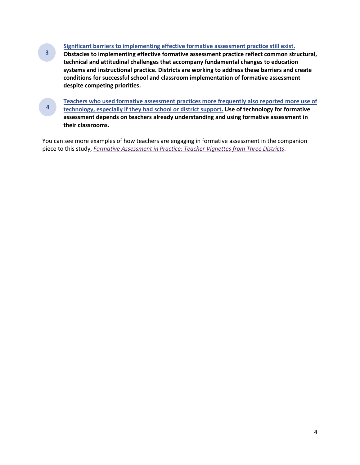#### **[Significant barriers to implementing effective formative assessment practice still exist.](#page-17-1)**

**Obstacles to implementing effective formative assessment practice reflect common structural, technical and attitudinal challenges that accompany fundamental changes to education systems and instructional practice. Districts are working to address these barriers and create conditions for successful school and classroom implementation of formative assessment despite competing priorities. 3**

**[Teachers who used formative assessment practices more frequently also reported](#page-21-1) more use of [technology, especially if they had school or district support.](#page-21-1) Use of technology for formative assessment depends on teachers already understanding and using formative assessment in their classrooms. 4**

You can see more examples of how teachers are engaging in formative assessment in the companion piece to this study, *[Formative Assessment in Practice: Teacher Vignettes from Three Districts](http://public.cdn.msdf.org/MSDF%20Vignette%20Companion%20Piece%20Final.pdf)*.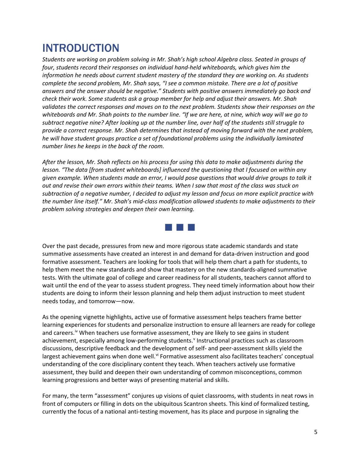# <span id="page-5-0"></span>INTRODUCTION

*Students are working on problem solving in Mr. Shah's high school Algebra class. Seated in groups of four, students record their responses on individual hand-held whiteboards, which gives him the information he needs about current student mastery of the standard they are working on. As students complete the second problem, Mr. Shah says, "I see a common mistake. There are a lot of positive answers and the answer should be negative." Students with positive answers immediately go back and check their work. Some students ask a group member for help and adjust their answers. Mr. Shah validates the correct responses and moves on to the next problem. Students show their responses on the whiteboards and Mr. Shah points to the number line. "If we are here, at nine, which way will we go to subtract negative nine? After looking up at the number line, over half of the students still struggle to provide a correct response. Mr. Shah determines that instead of moving forward with the next problem, he will have student groups practice a set of foundational problems using the individually laminated number lines he keeps in the back of the room.* 

*After the lesson, Mr. Shah reflects on his process for using this data to make adjustments during the lesson. "The data [from student whiteboards] influenced the questioning that I focused on within any given example. When students made an error, I would pose questions that would drive groups to talk it out and revise their own errors within their teams. When I saw that most of the class was stuck on subtraction of a negative number, I decided to adjust my lesson and focus on more explicit practice with the number line itself." Mr. Shah's mid-class modification allowed students to make adjustments to their problem solving strategies and deepen their own learning.*



Over the past decade, pressures from new and more rigorous state academic standards and state summative assessments have created an interest in and demand for data-driven instruction and good formative assessment. Teachers are looking for tools that will help them chart a path for students, to help them meet the new standards and show that mastery on the new standards-aligned summative tests. With the ultimate goal of college and career readiness for all students, teachers cannot afford to wait until the end of the year to assess student progress. They need timely information about how their students are doing to inform their lesson planning and help them adjust instruction to meet student needs today, and tomorrow—now.

As the opening vignette highlights, active use of formative assessment helps teachers frame better learning experiences for students and personalize instruction to ensure all learners are ready for college and careers.<sup>[iv](#page-55-4)</sup> When teachers use formative assessment, they are likely to see gains in student achievement, especially among low-performing students. [v](#page-55-5) Instructional practices such as classroom discussions, descriptive feedback and the development of self- and peer-assessment skills yield the largest achievement gains when done well.<sup>[vi](#page-55-6)</sup> Formative assessment also facilitates teachers' conceptual understanding of the core disciplinary content they teach. When teachers actively use formative assessment, they build and deepen their own understanding of common misconceptions, common learning progressions and better ways of presenting material and skills.

For many, the term "assessment" conjures up visions of quiet classrooms, with students in neat rows in front of computers or filling in dots on the ubiquitous Scantron sheets. This kind of formalized testing, currently the focus of a national anti-testing movement, has its place and purpose in signaling the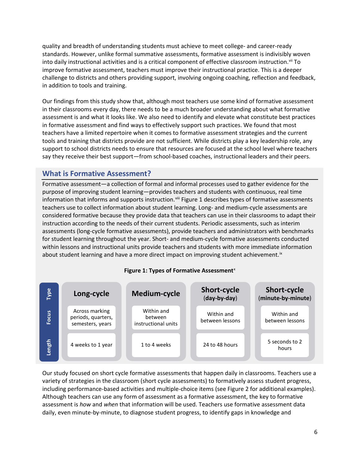quality and breadth of understanding students must achieve to meet college- and career-ready standards. However, unlike formal summative assessments, formative assessment is indivisibly woven into daily instructional activities and is a critical component of effective classroom instruction.<sup>[vii](#page-55-7)</sup> To improve formative assessment, teachers must improve their instructional practice. This is a deeper challenge to districts and others providing support, involving ongoing coaching, reflection and feedback, in addition to tools and training.

Our findings from this study show that, although most teachers use some kind of formative assessment in their classrooms every day, there needs to be a much broader understanding about what formative assessment is and what it looks like. We also need to identify and elevate what constitute best practices in formative assessment and find ways to effectively support such practices. We found that most teachers have a limited repertoire when it comes to formative assessment strategies and the current tools and training that districts provide are not sufficient. While districts play a key leadership role, any support to school districts needs to ensure that resources are focused at the school level where teachers say they receive their best support—from school-based coaches, instructional leaders and their peers.

# <span id="page-6-0"></span>**What is Formative Assessment?**

Formative assessment—a collection of formal and informal processes used to gather evidence for the purpose of improving student learning—provides teachers and students with continuous, real time information that informs and supports instruction.<sup>[viii](#page-55-8)</sup> Figure 1 describes types of formative assessments teachers use to collect information about student learning. Long- and medium-cycle assessments are considered formative because they provide data that teachers can use in their classrooms to adapt their instruction according to the needs of their current students. Periodic assessments, such as interim assessments (long-cycle formative assessments), provide teachers and administrators with benchmarks for student learning throughout the year. Short- and medium-cycle formative assessments conducted within lessons and instructional units provide teachers and students with more immediate information about student learning and have a more direct impact on improving student achievement.<sup>[ix](#page-55-9)</sup>



## **Figure 1: Types of Formative Assessment**<sup>[x](#page-55-10)</sup>

Our study focused on short cycle formative assessments that happen daily in classrooms. Teachers use a variety of strategies in the classroom (short cycle assessments) to formatively assess student progress, including performance-based activities and multiple-choice items (see Figure 2 for additional examples). Although teachers can use any form of assessment as a formative assessment, the key to formative assessment is *how* and *when* that information will be used. Teachers use formative assessment data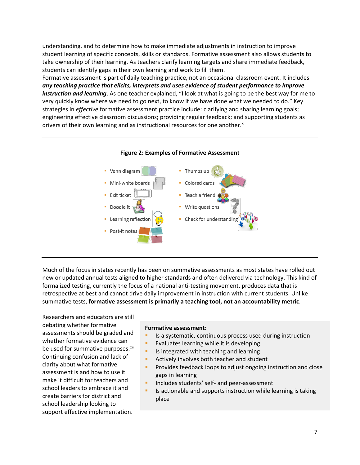understanding, and to determine how to make immediate adjustments in instruction to improve student learning of specific concepts, skills or standards. Formative assessment also allows students to take ownership of their learning. As teachers clarify learning targets and share immediate feedback, students can identify gaps in their own learning and work to fill them.

Formative assessment is part of daily teaching practice, not an occasional classroom event. It includes *any teaching practice that elicits, interprets and uses evidence of student performance to improve instruction and learning*. As one teacher explained, "I look at what is going to be the best way for me to very quickly know where we need to go next, to know if we have done what we needed to do." Key strategies in *effective* formative assessment practice include: clarifying and sharing learning goals; engineering effective classroom discussions; providing regular feedback; and supporting students as drivers of their own learning and as instructional resources for one another.<sup>[xi](#page-55-11)</sup>





Much of the focus in states recently has been on summative assessments as most states have rolled out new or updated annual tests aligned to higher standards and often delivered via technology. This kind of formalized testing, currently the focus of a national anti-testing movement, produces data that is retrospective at best and cannot drive daily improvement in instruction with current students. Unlike summative tests, **formative assessment is primarily a teaching tool, not an accountability metric**.

Researchers and educators are still debating whether formative assessments should be graded and whether formative evidence can be used for summative purposes.<sup>xii</sup> Continuing confusion and lack of clarity about what formative assessment is and how to use it make it difficult for teachers and school leaders to embrace it and create barriers for district and school leadership looking to support effective implementation.

#### **Formative assessment:**

- Is a systematic, continuous process used during instruction
- Evaluates learning while it is developing
- **IS integrated with teaching and learning**
- Actively involves both teacher and student
- Provides feedback loops to adjust ongoing instruction and close gaps in learning
- Includes students' self- and peer-assessment
- Is actionable and supports instruction while learning is taking place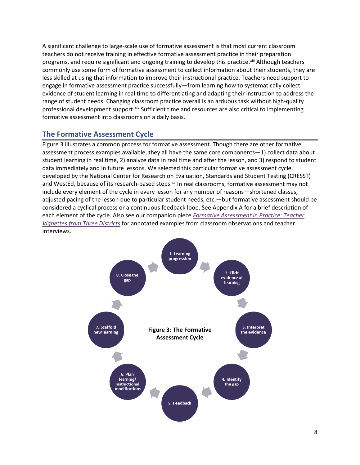A significant challenge to large-scale use of formative assessment is that most current classroom teachers do not receive training in effective formative assessment practice in their preparation programs, and require significant and ongoing training to develop this practice.<sup>[xiii](#page-55-13)</sup> Although teachers commonly use some form of formative assessment to collect information about their students, they are less skilled at using that information to improve their instructional practice. Teachers need support to engage in formative assessment practice successfully—from learning how to systematically collect evidence of student learning in real time to differentiating and adapting their instruction to address the range of student needs. Changing classroom practice overall is an arduous task without high-quality professional development support.<sup>[xiv](#page-55-14)</sup> Sufficient time and resources are also critical to implementing formative assessment into classrooms on a daily basis.

# <span id="page-8-0"></span>**The Formative Assessment Cycle**

Figure 3 illustrates a common process for formative assessment. Though there are other formative assessment process examples available, they all have the same core components—1) collect data about student learning in real time, 2) analyze data in real time and after the lesson, and 3) respond to student data immediately and in future lessons. We selected this particular formative assessment cycle, developed by the National Center for Research on Evaluation, Standards and Student Testing (CRESST) and WestEd, because of its research-based steps.<sup>[xv](#page-55-15)</sup> In real classrooms, formative assessment may not include every element of the cycle in every lesson for any number of reasons—shortened classes, adjusted pacing of the lesson due to particular student needs, etc.—but formative assessment should be considered a cyclical process or a continuous feedback loop. See Appendix A for a brief description of each element of the cycle. Also see our companion piece *[Formative Assessment in Practice: Teacher](http://public.cdn.msdf.org/MSDF%20Vignette%20Companion%20Piece%20Final.pdf)  Vignettes [from Three Districts](http://public.cdn.msdf.org/MSDF%20Vignette%20Companion%20Piece%20Final.pdf)* for annotated examples from classroom observations and teacher interviews.

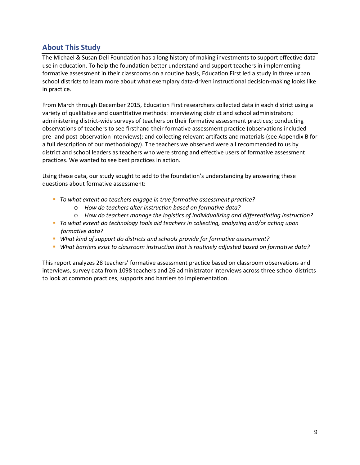# <span id="page-9-0"></span>**About This Study**

The Michael & Susan Dell Foundation has a long history of making investments to support effective data use in education. To help the foundation better understand and support teachers in implementing formative assessment in their classrooms on a routine basis, Education First led a study in three urban school districts to learn more about what exemplary data-driven instructional decision-making looks like in practice.

From March through December 2015, Education First researchers collected data in each district using a variety of qualitative and quantitative methods: interviewing district and school administrators; administering district-wide surveys of teachers on their formative assessment practices; conducting observations of teachers to see firsthand their formative assessment practice (observations included pre- and post-observation interviews); and collecting relevant artifacts and materials (see Appendix B for a full description of our methodology). The teachers we observed were all recommended to us by district and school leaders as teachers who were strong and effective users of formative assessment practices. We wanted to see best practices in action.

Using these data, our study sought to add to the foundation's understanding by answering these questions about formative assessment:

- *To what extent do teachers engage in true formative assessment practice?*
	- o *How do teachers alter instruction based on formative data?*
	- o *How do teachers manage the logistics of individualizing and differentiating instruction?*
- *To what extent do technology tools aid teachers in collecting, analyzing and/or acting upon formative data?*
- *What kind of support do districts and schools provide for formative assessment?*
- *What barriers exist to classroom instruction that is routinely adjusted based on formative data?*

This report analyzes 28 teachers' formative assessment practice based on classroom observations and interviews, survey data from 1098 teachers and 26 administrator interviews across three school districts to look at common practices, supports and barriers to implementation.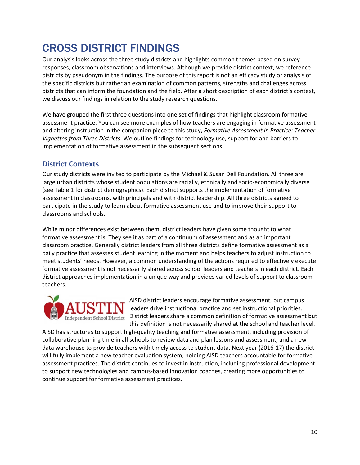# <span id="page-10-0"></span>CROSS DISTRICT FINDINGS

Our analysis looks across the three study districts and highlights common themes based on survey responses, classroom observations and interviews. Although we provide district context, we reference districts by pseudonym in the findings. The purpose of this report is not an efficacy study or analysis of the specific districts but rather an examination of common patterns, strengths and challenges across districts that can inform the foundation and the field. After a short description of each district's context, we discuss our findings in relation to the study research questions.

We have grouped the first three questions into one set of findings that highlight classroom formative assessment practice. You can see more examples of how teachers are engaging in formative assessment and altering instruction in the companion piece to this study, *Formative Assessment in Practice: Teacher Vignettes from Three Districts*. We outline findings for technology use, support for and barriers to implementation of formative assessment in the subsequent sections.

# **District Contexts**

Our study districts were invited to participate by the Michael & Susan Dell Foundation. All three are large urban districts whose student populations are racially, ethnically and socio-economically diverse (see Table 1 for district demographics). Each district supports the implementation of formative assessment in classrooms, with principals and with district leadership. All three districts agreed to participate in the study to learn about formative assessment use and to improve their support to classrooms and schools.

While minor differences exist between them, district leaders have given some thought to what formative assessment is: They see it as part of a continuum of assessment and as an important classroom practice. Generally district leaders from all three districts define formative assessment as a daily practice that assesses student learning in the moment and helps teachers to adjust instruction to meet students' needs. However, a common understanding of the actions required to effectively execute formative assessment is not necessarily shared across school leaders and teachers in each district. Each district approaches implementation in a unique way and provides varied levels of support to classroom teachers.



AISD district leaders encourage formative assessment, but campus leaders drive instructional practice and set instructional priorities.  $\overline{\text{Independent School District}}$  District leaders share a common definition of formative assessment but this definition is not necessarily shared at the school and teacher level.

AISD has structures to support high-quality teaching and formative assessment, including provision of collaborative planning time in all schools to review data and plan lessons and assessment, and a new data warehouse to provide teachers with timely access to student data. Next year (2016-17) the district will fully implement a new teacher evaluation system, holding AISD teachers accountable for formative assessment practices. The district continues to invest in instruction, including professional development to support new technologies and campus-based innovation coaches, creating more opportunities to continue support for formative assessment practices.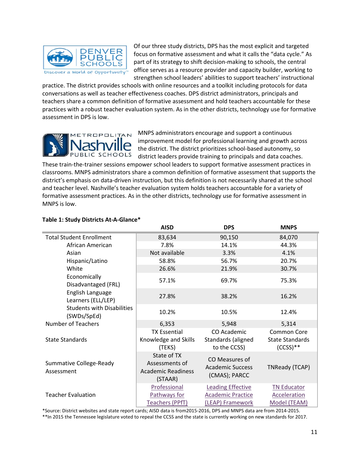

Of our three study districts, DPS has the most explicit and targeted focus on formative assessment and what it calls the "data cycle." As part of its strategy to shift decision-making to schools, the central office serves as a resource provider and capacity builder, working to strengthen school leaders' abilities to support teachers' instructional

practice. The district provides schools with online resources and a toolkit including protocols for data conversations as well as teacher effectiveness coaches. DPS district administrators, principals and teachers share a common definition of formative assessment and hold teachers accountable for these practices with a robust teacher evaluation system. As in the other districts, technology use for formative assessment in DPS is low.



MNPS administrators encourage and support a continuous improvement model for professional learning and growth across the district. The district prioritizes school-based autonomy, so district leaders provide training to principals and data coaches.

These train-the-trainer sessions empower school leaders to support formative assessment practices in classrooms. MNPS administrators share a common definition of formative assessment that supports the district's emphasis on data-driven instruction, but this definition is not necessarily shared at the school and teacher level. Nashville's teacher evaluation system holds teachers accountable for a variety of formative assessment practices. As in the other districts, technology use for formative assessment in MNPS is low.

|                                                  | <b>AISD</b>                                                           | <b>DPS</b>                                                               | <b>MNPS</b>                                                |
|--------------------------------------------------|-----------------------------------------------------------------------|--------------------------------------------------------------------------|------------------------------------------------------------|
| <b>Total Student Enrollment</b>                  | 83,634                                                                | 90,150                                                                   | 84,070                                                     |
| African American                                 | 7.8%                                                                  | 14.1%                                                                    | 44.3%                                                      |
| Asian                                            | Not available                                                         | 3.3%                                                                     | 4.1%                                                       |
| Hispanic/Latino                                  | 58.8%                                                                 | 56.7%                                                                    | 20.7%                                                      |
| White                                            | 26.6%                                                                 | 21.9%                                                                    | 30.7%                                                      |
| Economically<br>Disadvantaged (FRL)              | 57.1%                                                                 | 69.7%                                                                    | 75.3%                                                      |
| English Language<br>Learners (ELL/LEP)           | 27.8%                                                                 | 38.2%                                                                    | 16.2%                                                      |
| <b>Students with Disabilities</b><br>(SWDs/SpEd) | 10.2%                                                                 | 10.5%                                                                    | 12.4%                                                      |
| <b>Number of Teachers</b>                        | 6,353                                                                 | 5,948                                                                    | 5,314                                                      |
| <b>State Standards</b>                           | <b>TX Essential</b><br>Knowledge and Skills<br>(TEKS)                 | CO Academic<br>Standards (aligned<br>to the CCSS)                        | <b>Common Core</b><br><b>State Standards</b><br>$(CCSS)**$ |
| Summative College-Ready<br>Assessment            | State of TX<br>Assessments of<br><b>Academic Readiness</b><br>(STAAR) | CO Measures of<br><b>Academic Success</b><br>(CMAS); PARCC               | TNReady (TCAP)                                             |
| <b>Teacher Evaluation</b>                        | Professional<br>Pathways for<br>Teachers (PPfT)                       | <b>Leading Effective</b><br><b>Academic Practice</b><br>(LEAP) Framework | <b>TN Educator</b><br><b>Acceleration</b><br>Model (TEAM)  |

## **Table 1: Study Districts At-A-Glance\***

\*Source: District websites and state report cards; AISD data is from2015-2016, DPS and MNPS data are from 2014-2015. \*\*In 2015 the Tennessee legislature voted to repeal the CCSS and the state is currently working on new standards for 2017.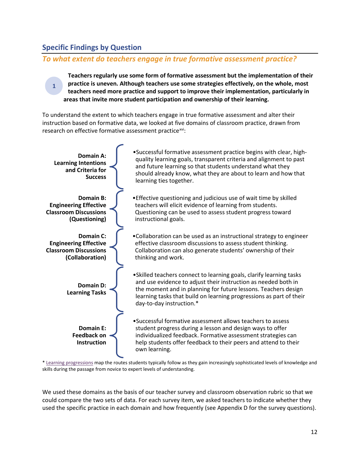# <span id="page-12-2"></span><span id="page-12-0"></span>**Specific Findings by Question**

**1**

# <span id="page-12-1"></span>*To what extent do teachers engage in true formative assessment practice?*

**Teachers regularly use some form of formative assessment but the implementation of their practice is uneven. Although teachers use some strategies effectively, on the whole, most teachers need more practice and support to improve their implementation, particularly in areas that invite more student participation and ownership of their learning.**

To understand the extent to which teachers engage in true formative assessment and alter their instruction based on formative data, we looked at five domains of classroom practice, drawn from research on effective formative assessment practice<sup>[xvi](#page-55-16)</sup>:



[\\* Learning progressions](http://www.edweek.org/ew/articles/2015/11/11/learning-progressions-maps-to-personalized-teaching.html) map the routes students typically follow as they gain increasingly sophisticated levels of knowledge and skills during the passage from novice to expert levels of understanding.

We used these domains as the basis of our teacher survey and classroom observation rubric so that we could compare the two sets of data. For each survey item, we asked teachers to indicate whether they used the specific practice in each domain and how frequently (see Appendix D for the survey questions).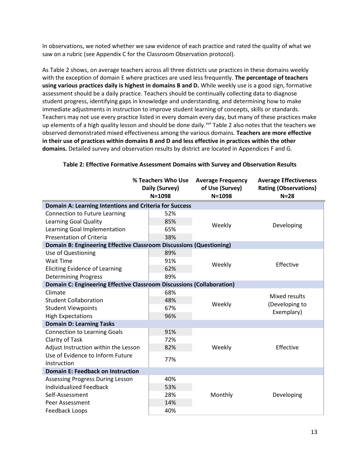In observations, we noted whether we saw evidence of each practice and rated the quality of what we saw on a rubric (see Appendix C for the Classroom Observation protocol).

As Table 2 shows, on average teachers across all three districts use practices in these domains weekly with the exception of domain E where practices are used less frequently. **The percentage of teachers using various practices daily is highest in domains B and D.** While weekly use is a good sign, formative assessment should be a daily practice. Teachers should be continually collecting data to diagnose student progress, identifying gaps in knowledge and understanding, and determining how to make immediate adjustments in instruction to improve student learning of concepts, skills or standards. Teachers may not use every practice listed in every domain every day, but many of these practices make up elements of a high quality lesson and should be done daily.<sup>[xvii](#page-55-17)</sup> Table 2 also notes that the teachers we observed demonstrated mixed effectiveness among the various domains. **Teachers are more effective in their use of practices within domains B and D and less effective in practices within the other domains.** Detailed survey and observation results by district are located in Appendices F and G.

|                                                                       | % Teachers Who Use<br>Daily (Survey)<br>$N = 1098$ | <b>Average Frequency</b><br>of Use (Survey)<br>$N = 1098$ | <b>Average Effectiveness</b><br><b>Rating (Observations)</b><br>$N=28$ |
|-----------------------------------------------------------------------|----------------------------------------------------|-----------------------------------------------------------|------------------------------------------------------------------------|
| Domain A: Learning Intentions and Criteria for Success                |                                                    |                                                           |                                                                        |
| Connection to Future Learning                                         | 52%                                                |                                                           |                                                                        |
| <b>Learning Goal Quality</b>                                          | 85%                                                |                                                           | Developing                                                             |
| Learning Goal Implementation                                          | 65%                                                | Weekly                                                    |                                                                        |
| <b>Presentation of Criteria</b>                                       | 38%                                                |                                                           |                                                                        |
| Domain B: Engineering Effective Classroom Discussions (Questioning)   |                                                    |                                                           |                                                                        |
| Use of Questioning                                                    | 89%                                                |                                                           |                                                                        |
| <b>Wait Time</b>                                                      | 91%                                                | Weekly                                                    | Effective                                                              |
| <b>Eliciting Evidence of Learning</b>                                 | 62%                                                |                                                           |                                                                        |
| <b>Determining Progress</b>                                           | 89%                                                |                                                           |                                                                        |
| Domain C: Engineering Effective Classroom Discussions (Collaboration) |                                                    |                                                           |                                                                        |
| Climate                                                               | 68%                                                |                                                           | Mixed results                                                          |
| <b>Student Collaboration</b>                                          | 48%                                                | Weekly                                                    | (Developing to                                                         |
| <b>Student Viewpoints</b>                                             | 67%                                                |                                                           | Exemplary)                                                             |
| <b>High Expectations</b>                                              | 96%                                                |                                                           |                                                                        |
| <b>Domain D: Learning Tasks</b>                                       |                                                    |                                                           |                                                                        |
| <b>Connection to Learning Goals</b>                                   | 91%                                                |                                                           |                                                                        |
| Clarity of Task                                                       | 72%                                                |                                                           |                                                                        |
| Adjust Instruction within the Lesson                                  | 82%                                                | Weekly                                                    | Effective                                                              |
| Use of Evidence to Inform Future                                      | 77%                                                |                                                           |                                                                        |
| Instruction                                                           |                                                    |                                                           |                                                                        |
| <b>Domain E: Feedback on Instruction</b>                              |                                                    |                                                           |                                                                        |
| <b>Assessing Progress During Lesson</b>                               | 40%                                                |                                                           |                                                                        |
| <b>Individualized Feedback</b>                                        | 53%                                                |                                                           |                                                                        |
| Self-Assessment                                                       | 28%                                                | Monthly                                                   | Developing                                                             |
| Peer Assessment                                                       | 14%                                                |                                                           |                                                                        |
| Feedback Loops                                                        | 40%                                                |                                                           |                                                                        |

### **Table 2: Effective Formative Assessment Domains with Survey and Observation Results**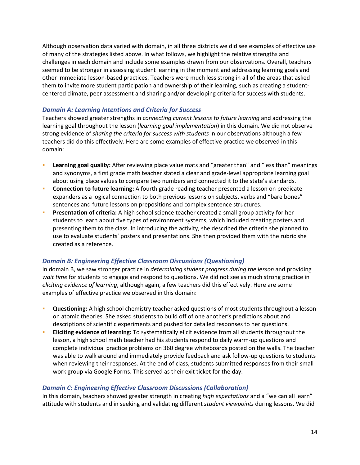Although observation data varied with domain, in all three districts we did see examples of effective use of many of the strategies listed above. In what follows, we highlight the relative strengths and challenges in each domain and include some examples drawn from our observations. Overall, teachers seemed to be stronger in assessing student learning in the moment and addressing learning goals and other immediate lesson-based practices. Teachers were much less strong in all of the areas that asked them to invite more student participation and ownership of their learning, such as creating a studentcentered climate, peer assessment and sharing and/or developing criteria for success with students.

### *Domain A: Learning Intentions and Criteria for Success*

Teachers showed greater strengths in *connecting current lessons to future learning* and addressing the learning goal throughout the lesson (*learning goal implementation*) in this domain. We did not observe strong evidence of *sharing the criteria for success with students* in our observations although a few teachers did do this effectively. Here are some examples of effective practice we observed in this domain:

- **Learning goal quality:** After reviewing place value mats and "greater than" and "less than" meanings and synonyms, a first grade math teacher stated a clear and grade-level appropriate learning goal about using place values to compare two numbers and connected it to the state's standards.
- **Connection to future learning:** A fourth grade reading teacher presented a lesson on predicate expanders as a logical connection to both previous lessons on subjects, verbs and "bare bones" sentences and future lessons on prepositions and complex sentence structures.
- **Presentation of criteria:** A high school science teacher created a small group activity for her students to learn about five types of environment systems, which included creating posters and presenting them to the class. In introducing the activity, she described the criteria she planned to use to evaluate students' posters and presentations. She then provided them with the rubric she created as a reference.

### *Domain B: Engineering Effective Classroom Discussions (Questioning)*

In domain B, we saw stronger practice in *determining student progress during the lesson* and providing *wait time* for students to engage and respond to questions. We did not see as much strong practice in *eliciting evidence of learning*, although again, a few teachers did this effectively. Here are some examples of effective practice we observed in this domain:

- **Questioning:** A high school chemistry teacher asked questions of most students throughout a lesson on atomic theories. She asked students to build off of one another's predictions about and descriptions of scientific experiments and pushed for detailed responses to her questions.
- **Eliciting evidence of learning:** To systematically elicit evidence from all students throughout the lesson, a high school math teacher had his students respond to daily warm-up questions and complete individual practice problems on 360 degree whiteboards posted on the walls. The teacher was able to walk around and immediately provide feedback and ask follow-up questions to students when reviewing their responses. At the end of class, students submitted responses from their small work group via Google Forms. This served as their exit ticket for the day.

### *Domain C: Engineering Effective Classroom Discussions (Collaboration)*

In this domain, teachers showed greater strength in creating *high expectations* and a "we can all learn" attitude with students and in seeking and validating different *student viewpoints* during lessons. We did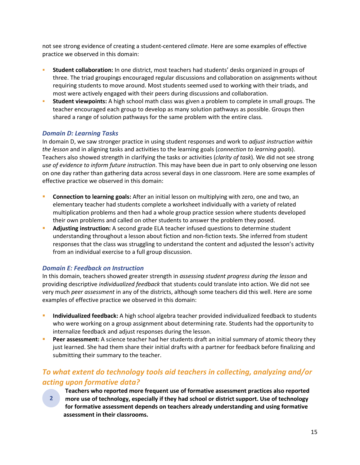<span id="page-15-1"></span>not see strong evidence of creating a student-centered *climate*. Here are some examples of effective practice we observed in this domain:

- **Student collaboration:** In one district, most teachers had students' desks organized in groups of three. The triad groupings encouraged regular discussions and collaboration on assignments without requiring students to move around. Most students seemed used to working with their triads, and most were actively engaged with their peers during discussions and collaboration.
- **Student viewpoints:** A high school math class was given a problem to complete in small groups. The teacher encouraged each group to develop as many solution pathways as possible. Groups then shared a range of solution pathways for the same problem with the entire class.

## *Domain D: Learning Tasks*

In domain D, we saw stronger practice in using student responses and work to *adjust instruction within the lesson* and in aligning tasks and activities to the learning goals (*connection to learning goals*). Teachers also showed strength in clarifying the tasks or activities (*clarity of task*). We did not see strong *use of evidence to inform future instruction*. This may have been due in part to only observing one lesson on one day rather than gathering data across several days in one classroom. Here are some examples of effective practice we observed in this domain:

- **Connection to learning goals:** After an initial lesson on multiplying with zero, one and two, an elementary teacher had students complete a worksheet individually with a variety of related multiplication problems and then had a whole group practice session where students developed their own problems and called on other students to answer the problem they posed.
- **Adjusting instruction:** A second grade ELA teacher infused questions to determine student understanding throughout a lesson about fiction and non-fiction texts. She inferred from student responses that the class was struggling to understand the content and adjusted the lesson's activity from an individual exercise to a full group discussion.

## *Domain E: Feedback on Instruction*

In this domain, teachers showed greater strength in *assessing student progress during the lesson* and providing descriptive *individualized feedback* that students could translate into action. We did not see very much *peer assessment* in any of the districts, although some teachers did this well. Here are some examples of effective practice we observed in this domain:

- **Individualized feedback:** A high school algebra teacher provided individualized feedback to students who were working on a group assignment about determining rate. Students had the opportunity to internalize feedback and adjust responses during the lesson.
- **Peer assessment:** A science teacher had her students draft an initial summary of atomic theory they just learned. She had them share their initial drafts with a partner for feedback before finalizing and submitting their summary to the teacher.

# <span id="page-15-0"></span>*To what extent do technology tools aid teachers in collecting, analyzing and/or acting upon formative data?*

- **Teachers who reported more frequent use of formative assessment practices also reported**
- **more use of technology, especially if they had school or district support. Use of technology for formative assessment depends on teachers already understanding and using formative assessment in their classrooms. 2**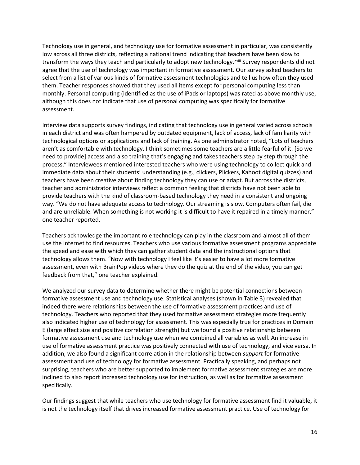Technology use in general, and technology use for formative assessment in particular, was consistently low across all three districts, reflecting a national trend indicating that teac[h](#page-55-18)ers have been slow to transform the ways they teach and particularly to adopt new technology.<sup>xviii</sup> Survey respondents did not agree that the use of technology was important in formative assessment. Our survey asked teachers to select from a list of various kinds of formative assessment technologies and tell us how often they used them. Teacher responses showed that they used all items except for personal computing less than monthly. Personal computing (identified as the use of iPads or laptops) was rated as above monthly use, although this does not indicate that use of personal computing was specifically for formative assessment.

Interview data supports survey findings, indicating that technology use in general varied across schools in each district and was often hampered by outdated equipment, lack of access, lack of familiarity with technological options or applications and lack of training. As one administrator noted, "Lots of teachers aren't as comfortable with technology. I think sometimes some teachers are a little fearful of it. [So we need to provide] access and also training that's engaging and takes teachers step by step through the process." Interviewees mentioned interested teachers who were using technology to collect quick and immediate data about their students' understanding (e.g., clickers, Plickers, Kahoot digital quizzes) and teachers have been creative about finding technology they can use or adapt. But across the districts, teacher and administrator interviews reflect a common feeling that districts have not been able to provide teachers with the kind of classroom-based technology they need in a consistent and ongoing way. "We do not have adequate access to technology. Our streaming is slow. Computers often fail, die and are unreliable. When something is not working it is difficult to have it repaired in a timely manner," one teacher reported.

Teachers acknowledge the important role technology can play in the classroom and almost all of them use the internet to find resources. Teachers who use various formative assessment programs appreciate the speed and ease with which they can gather student data and the instructional options that technology allows them. "Now with technology I feel like it's easier to have a lot more formative assessment, even with BrainPop videos where they do the quiz at the end of the video, you can get feedback from that," one teacher explained.

We analyzed our survey data to determine whether there might be potential connections between formative assessment use and technology use. Statistical analyses (shown in Table 3) revealed that indeed there were relationships between the use of formative assessment practices and use of technology. Teachers who reported that they used formative assessment strategies more frequently also indicated higher use of technology for assessment. This was especially true for practices in Domain E (large effect size and positive correlation strength) but we found a positive relationship between formative assessment use and technology use when we combined all variables as well. An increase in use of formative assessment practice was positively connected with use of technology, and vice versa. In addition, we also found a significant correlation in the relationship between *support* for formative assessment and use of technology for formative assessment. Practically speaking, and perhaps not surprising, teachers who are better supported to implement formative assessment strategies are more inclined to also report increased technology use for instruction, as well as for formative assessment specifically.

Our findings suggest that while teachers who use technology for formative assessment find it valuable, it is not the technology itself that drives increased formative assessment practice. Use of technology for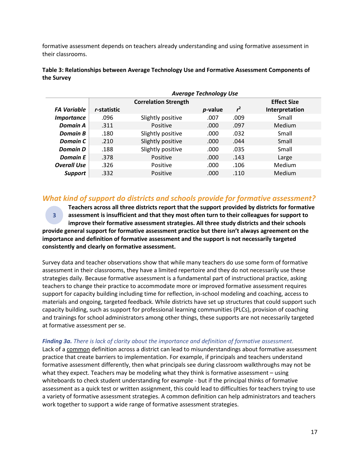<span id="page-17-1"></span>formative assessment depends on teachers already understanding and using formative assessment in their classrooms.

|                    | <b>Average Technology Use</b> |                             |                 |                |                    |
|--------------------|-------------------------------|-----------------------------|-----------------|----------------|--------------------|
|                    |                               | <b>Correlation Strength</b> |                 |                | <b>Effect Size</b> |
| <b>FA Variable</b> | r-statistic                   |                             | <i>p</i> -value | r <sup>2</sup> | Interpretation     |
| <b>Importance</b>  | .096                          | Slightly positive           | .007            | .009           | Small              |
| Domain A           | .311                          | Positive                    | .000.           | .097           | <b>Medium</b>      |
| <b>Domain B</b>    | .180                          | Slightly positive           | .000            | .032           | Small              |
| Domain C           | .210                          | Slightly positive           | .000            | .044           | Small              |
| Domain D           | .188                          | Slightly positive           | .000            | .035           | Small              |
| <b>Domain E</b>    | .378                          | Positive                    | .000            | .143           | Large              |
| <b>Overall Use</b> | .326                          | Positive                    | .000            | .106           | <b>Medium</b>      |
| <b>Support</b>     | .332                          | Positive                    | .000            | .110           | <b>Medium</b>      |

**Table 3: Relationships between Average Technology Use and Formative Assessment Components of the Survey**

# <span id="page-17-0"></span>*What kind of support do districts and schools provide for formative assessment?*

**Teachers across all three districts report that the support provided by districts for formative assessment is insufficient and that they most often turn to their colleagues for support to improve their formative assessment strategies. All three study districts and their schools provide general support for formative assessment practice but there isn't always agreement on the importance and definition of formative assessment and the support is not necessarily targeted consistently and clearly on formative assessment. 3**

Survey data and teacher observations show that while many teachers do use some form of formative assessment in their classrooms, they have a limited repertoire and they do not necessarily use these strategies daily. Because formative assessment is a fundamental part of instructional practice, asking teachers to change their practice to accommodate more or improved formative assessment requires support for capacity building including time for reflection, in-school modeling and coaching, access to materials and ongoing, targeted feedback. While districts have set up structures that could support such capacity building, such as support for professional learning communities (PLCs), provision of coaching and trainings for school administrators among other things, these supports are not necessarily targeted at formative assessment per se.

#### *Finding 3a. There is lack of clarity about the importance and definition of formative assessment.*

Lack of a common definition across a district can lead to misunderstandings about formative assessment practice that create barriers to implementation. For example, if principals and teachers understand formative assessment differently, then what principals see during classroom walkthroughs may not be what they expect. Teachers may be modeling what they think is formative assessment – using whiteboards to check student understanding for example - but if the principal thinks of formative assessment as a quick test or written assignment, this could lead to difficulties for teachers trying to use a variety of formative assessment strategies. A common definition can help administrators and teachers work together to support a wide range of formative assessment strategies.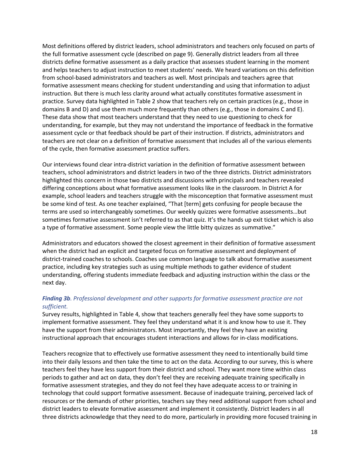Most definitions offered by district leaders, school administrators and teachers only focused on parts of the full formative assessment cycle (described on page 9). Generally district leaders from all three districts define formative assessment as a daily practice that assesses student learning in the moment and helps teachers to adjust instruction to meet students' needs. We heard variations on this definition from school-based administrators and teachers as well. Most principals and teachers agree that formative assessment means checking for student understanding and using that information to adjust instruction. But there is much less clarity around what actually constitutes formative assessment in practice. Survey data highlighted in Table 2 show that teachers rely on certain practices (e.g., those in domains B and D) and use them much more frequently than others (e.g., those in domains C and E). These data show that most teachers understand that they need to use questioning to check for understanding, for example, but they may not understand the importance of feedback in the formative assessment cycle or that feedback should be part of their instruction. If districts, administrators and teachers are not clear on a definition of formative assessment that includes all of the various elements of the cycle, then formative assessment practice suffers.

Our interviews found clear intra-district variation in the definition of formative assessment between teachers, school administrators and district leaders in two of the three districts. District administrators highlighted this concern in those two districts and discussions with principals and teachers revealed differing conceptions about what formative assessment looks like in the classroom. In District A for example, school leaders and teachers struggle with the misconception that formative assessment must be some kind of test. As one teacher explained, "That [term] gets confusing for people because the terms are used so interchangeably sometimes. Our weekly quizzes were formative assessments…but sometimes formative assessment isn't referred to as that quiz. It's the hands up exit ticket which is also a type of formative assessment. Some people view the little bitty quizzes as summative."

Administrators and educators showed the closest agreement in their definition of formative assessment when the district had an explicit and targeted focus on formative assessment and deployment of district-trained coaches to schools. Coaches use common language to talk about formative assessment practice, including key strategies such as using multiple methods to gather evidence of student understanding, offering students immediate feedback and adjusting instruction within the class or the next day.

### *Finding 3b. Professional development and other supports for formative assessment practice are not sufficient.*

Survey results, highlighted in Table 4, show that teachers generally feel they have some supports to implement formative assessment. They feel they understand what it is and know how to use it. They have the support from their administrators. Most importantly, they feel they have an existing instructional approach that encourages student interactions and allows for in-class modifications.

Teachers recognize that to effectively use formative assessment they need to intentionally build time into their daily lessons and then take the time to act on the data. According to our survey, this is where teachers feel they have less support from their district and school. They want more time within class periods to gather and act on data, they don't feel they are receiving adequate training specifically in formative assessment strategies, and they do not feel they have adequate access to or training in technology that could support formative assessment. Because of inadequate training, perceived lack of resources or the demands of other priorities, teachers say they need additional support from school and district leaders to elevate formative assessment and implement it consistently. District leaders in all three districts acknowledge that they need to do more, particularly in providing more focused training in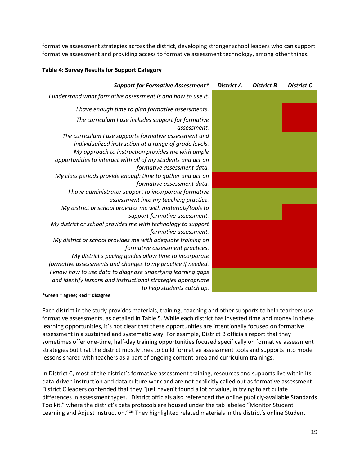formative assessment strategies across the district, developing stronger school leaders who can support formative assessment and providing access to formative assessment technology, among other things.

### **Table 4: Survey Results for Support Category**

| <b>Support for Formative Assessment*</b>                                                                                                                   | <b>District A</b> | <b>District B</b> | <b>District C</b> |
|------------------------------------------------------------------------------------------------------------------------------------------------------------|-------------------|-------------------|-------------------|
| I understand what formative assessment is and how to use it.                                                                                               |                   |                   |                   |
| I have enough time to plan formative assessments.                                                                                                          |                   |                   |                   |
| The curriculum I use includes support for formative<br>assessment.                                                                                         |                   |                   |                   |
| The curriculum I use supports formative assessment and<br>individualized instruction at a range of grade levels.                                           |                   |                   |                   |
| My approach to instruction provides me with ample<br>opportunities to interact with all of my students and act on                                          |                   |                   |                   |
| formative assessment data.<br>My class periods provide enough time to gather and act on                                                                    |                   |                   |                   |
| formative assessment data.<br>I have administrator support to incorporate formative<br>assessment into my teaching practice.                               |                   |                   |                   |
| My district or school provides me with materials/tools to<br>support formative assessment.                                                                 |                   |                   |                   |
| My district or school provides me with technology to support<br>formative assessment.                                                                      |                   |                   |                   |
| My district or school provides me with adequate training on<br>formative assessment practices.                                                             |                   |                   |                   |
| My district's pacing guides allow time to incorporate<br>formative assessments and changes to my practice if needed.                                       |                   |                   |                   |
| I know how to use data to diagnose underlying learning gaps<br>and identify lessons and instructional strategies appropriate<br>to help students catch up. |                   |                   |                   |
|                                                                                                                                                            |                   |                   |                   |

**\*Green = agree; Red = disagree**

Each district in the study provides materials, training, coaching and other supports to help teachers use formative assessments, as detailed in Table 5. While each district has invested time and money in these learning opportunities, it's not clear that these opportunities are intentionally focused on formative assessment in a sustained and systematic way. For example, District B officials report that they sometimes offer one-time, half-day training opportunities focused specifically on formative assessment strategies but that the district mostly tries to build formative assessment tools and supports into model lessons shared with teachers as a part of ongoing content-area and curriculum trainings.

In District C, most of the district's formative assessment training, resources and supports live within its data-driven instruction and data culture work and are not explicitly called out as formative assessment. District C leaders contended that they "just haven't found a lot of value, in trying to articulate differences in assessment types." District officials also referenced the online publicly-available Standards Toolkit," where the district's data protocols are housed under the tab labeled "Monitor Student Learning and Adjust Instruction." [xix](#page-55-19) They highlighted related materials in the district's online Student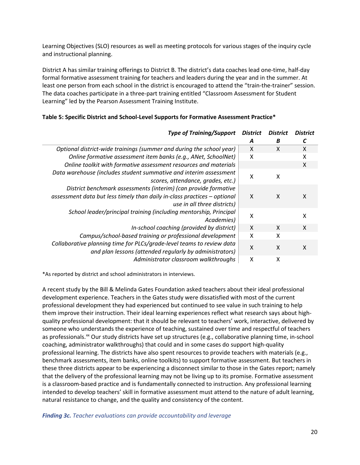Learning Objectives (SLO) resources as well as meeting protocols for various stages of the inquiry cycle and instructional planning.

District A has similar training offerings to District B. The district's data coaches lead one-time, half-day formal formative assessment training for teachers and leaders during the year and in the summer. At least one person from each school in the district is encouraged to attend the "train-the-trainer" session. The data coaches participate in a three-part training entitled "Classroom Assessment for Student Learning" led by the Pearson Assessment Training Institute.

| <b>Type of Training/Support</b>                                                                                                                                            | <b>District</b>           | <b>District</b> | <b>District</b> |
|----------------------------------------------------------------------------------------------------------------------------------------------------------------------------|---------------------------|-----------------|-----------------|
|                                                                                                                                                                            | A                         | B               |                 |
| Optional district-wide trainings (summer and during the school year)                                                                                                       | $\mathsf{X}$              | X               | X               |
| Online formative assessment item banks (e.g., ANet, SchoolNet)                                                                                                             | X                         |                 | X               |
| Online toolkit with formative assessment resources and materials                                                                                                           |                           |                 | X               |
| Data warehouse (includes student summative and interim assessment<br>scores, attendance, grades, etc.)                                                                     | $\boldsymbol{\mathsf{X}}$ | x               |                 |
| District benchmark assessments (interim) (can provide formative<br>assessment data but less timely than daily in-class practices - optional<br>use in all three districts) | $\boldsymbol{\mathsf{x}}$ | X               | X               |
| School leader/principal training (including mentorship, Principal<br>Academies)                                                                                            | X                         |                 | X               |
| In-school coaching (provided by district)                                                                                                                                  | $\boldsymbol{\mathsf{X}}$ | X               | X               |
| Campus/school-based training or professional development                                                                                                                   | X                         | X               |                 |
| Collaborative planning time for PLCs/grade-level teams to review data<br>and plan lessons (attended regularly by administrators)                                           | X                         | X               | X               |
| Administrator classroom walkthroughs                                                                                                                                       | X                         | χ               |                 |

#### **Table 5: Specific District and School-Level Supports for Formative Assessment Practice\***

\*As reported by district and school administrators in interviews.

A recent study by the Bill & Melinda Gates Foundation asked teachers about their ideal professional development experience. Teachers in the Gates study were dissatisfied with most of the current professional development they had experienced but continued to see value in such training to help them improve their instruction. Their ideal learning experiences reflect what research says about highquality professional development: that it should be relevant to teachers' work, interactive, delivered by someone who understands the experience of teaching, sustained over time and respectful of teachers as professionals.<sup>xx</sup> Our study districts have set up structures (e.g., collaborative planning time, in-school coaching, administrator walkthroughs) that could and in some cases do support high-quality professional learning. The districts have also spent resources to provide teachers with materials (e.g., benchmark assessments, item banks, online toolkits) to support formative assessment. But teachers in these three districts appear to be experiencing a disconnect similar to those in the Gates report; namely that the delivery of the professional learning may not be living up to its promise. Formative assessment is a classroom-based practice and is fundamentally connected to instruction. Any professional learning intended to develop teachers' skill in formative assessment must attend to the nature of adult learning, natural resistance to change, and the quality and consistency of the content.

*Finding 3c. Teacher evaluations can provide accountability and leverage*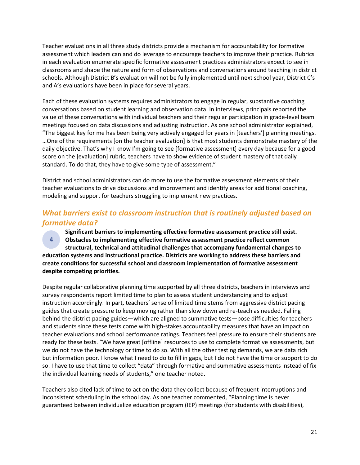Teacher evaluations in all three study districts provide a mechanism for accountability for formative assessment which leaders can and do leverage to encourage teachers to improve their practice. Rubrics in each evaluation enumerate specific formative assessment practices administrators expect to see in classrooms and shape the nature and form of observations and conversations around teaching in district schools. Although District B's evaluation will not be fully implemented until next school year, District C's and A's evaluations have been in place for several years.

Each of these evaluation systems requires administrators to engage in regular, substantive coaching conversations based on student learning and observation data. In interviews, principals reported the value of these conversations with individual teachers and their regular participation in grade-level team meetings focused on data discussions and adjusting instruction. As one school administrator explained, "The biggest key for me has been being very actively engaged for years in [teachers'] planning meetings. …One of the requirements [on the teacher evaluation] is that most students demonstrate mastery of the daily objective. That's why I know I'm going to see [formative assessment] every day because for a good score on the [evaluation] rubric, teachers have to show evidence of student mastery of that daily standard. To do that, they have to give some type of assessment."

District and school administrators can do more to use the formative assessment elements of their teacher evaluations to drive discussions and improvement and identify areas for additional coaching, modeling and support for teachers struggling to implement new practices.

# <span id="page-21-0"></span>*What barriers exist to classroom instruction that is routinely adjusted based on formative data?*

<span id="page-21-1"></span>**Significant barriers to implementing effective formative assessment practice still exist. Obstacles to implementing effective formative assessment practice reflect common structural, technical and attitudinal challenges that accompany fundamental changes to education systems and instructional practice. Districts are working to address these barriers and create conditions for successful school and classroom implementation of formative assessment despite competing priorities. 4**

Despite regular collaborative planning time supported by all three districts, teachers in interviews and survey respondents report limited time to plan to assess student understanding and to adjust instruction accordingly. In part, teachers' sense of limited time stems from aggressive district pacing guides that create pressure to keep moving rather than slow down and re-teach as needed. Falling behind the district pacing guides—which are aligned to summative tests—pose difficulties for teachers and students since these tests come with high-stakes accountability measures that have an impact on teacher evaluations and school performance ratings. Teachers feel pressure to ensure their students are ready for these tests. "We have great [offline] resources to use to complete formative assessments, but we do not have the technology or time to do so. With all the other testing demands, we are data rich but information poor. I know what I need to do to fill in gaps, but I do not have the time or support to do so. I have to use that time to collect "data" through formative and summative assessments instead of fix the individual learning needs of students," one teacher noted.

Teachers also cited lack of time to act on the data they collect because of frequent interruptions and inconsistent scheduling in the school day. As one teacher commented, "Planning time is never guaranteed between individualize education program (IEP) meetings (for students with disabilities),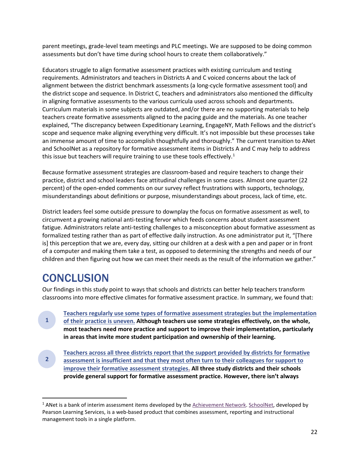parent meetings, grade-level team meetings and PLC meetings. We are supposed to be doing common assessments but don't have time during school hours to create them collaboratively."

Educators struggle to align formative assessment practices with existing curriculum and testing requirements. Administrators and teachers in Districts A and C voiced concerns about the lack of alignment between the district benchmark assessments (a long-cycle formative assessment tool) and the district scope and sequence. In District C, teachers and administrators also mentioned the difficulty in aligning formative assessments to the various curricula used across schools and departments. Curriculum materials in some subjects are outdated, and/or there are no supporting materials to help teachers create formative assessments aligned to the pacing guide and the materials. As one teacher explained, "The discrepancy between Expeditionary Learning, EngageNY, Math Fellows and the district's scope and sequence make aligning everything very difficult. It's not impossible but these processes take an immense amount of time to accomplish thoughtfully and thoroughly." The current transition to ANet and SchoolNet as a repository for formative assessment items in Districts A and C may help to address this issue but teachers will require training to use these tools effectively.<sup>[1](#page-22-1)</sup>

Because formative assessment strategies are classroom-based and require teachers to change their practice, district and school leaders face attitudinal challenges in some cases. Almost one quarter (22 percent) of the open-ended comments on our survey reflect frustrations with supports, technology, misunderstandings about definitions or purpose, misunderstandings about process, lack of time, etc.

District leaders feel some outside pressure to downplay the focus on formative assessment as well, to circumvent a growing national anti-testing fervor which feeds concerns about student assessment fatigue. Administrators relate anti-testing challenges to a misconception about formative assessment as formalized testing rather than as part of effective daily instruction. As one administrator put it, "[There is] this perception that we are, every day, sitting our children at a desk with a pen and paper or in front of a computer and making them take a test, as opposed to determining the strengths and needs of our children and then figuring out how we can meet their needs as the result of the information we gather."

# <span id="page-22-0"></span>**CONCLUSION**

**1**

Our findings in this study point to ways that schools and districts can better help teachers transform classrooms into more effective climates for formative assessment practice. In summary, we found that:

**[Teachers regularly use some types of formative assessment strategies but the implementation](#page-12-2)  [of their practice is uneven.](#page-12-2) Although teachers use some strategies effectively, on the whole, most teachers need more practice and support to improve their implementation, particularly in areas that invite more student participation and ownership of their learning.**

**[Teachers across all three districts report that the support provided by districts for formative](#page-15-1)  [assessment is insufficient and that they most often turn to their colleagues for support to](#page-15-1)  [improve their formative assessment strategies.](#page-15-1) All three study districts and their schools provide general support for formative assessment practice. However, there isn't always 2**

<span id="page-22-1"></span><sup>&</sup>lt;sup>1</sup> ANet is a bank of interim assessment items developed by the **Achievement Network.** [SchoolNet,](http://www.pearsonschool.com/index.cfm?locator=PS2pWa&PMDBSOLUTIONID=6724&PMDBSITEID=2781&PMDBCATEGORYID=&PMDBSUBSOLUTIONID=&PMDBSUBJECTAREAID=&PMDBSUBCATEGORYID=&PMDbProgramID=106341) developed by Pearson Learning Services, is a web-based product that combines assessment, reporting and instructional management tools in a single platform.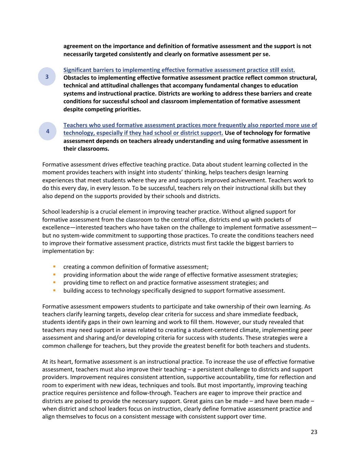**agreement on the importance and definition of formative assessment and the support is not necessarily targeted consistently and clearly on formative assessment per se.**

**[Significant barriers to implementing effective formative assessment practice still exist.](#page-17-1) Obstacles to implementing effective formative assessment practice reflect common structural, technical and attitudinal challenges that accompany fundamental changes to education systems and instructional practice. Districts are working to address these barriers and create conditions for successful school and classroom implementation of formative assessment despite competing priorities.**

**[Teachers who used formative assessment practices more frequently also reported more use of](#page-21-1)  [technology, especially if they had school or district support.](#page-21-1) Use of technology for formative assessment depends on teachers already understanding and using formative assessment in their classrooms. 4**

Formative assessment drives effective teaching practice. Data about student learning collected in the moment provides teachers with insight into students' thinking, helps teachers design learning experiences that meet students where they are and supports improved achievement. Teachers work to do this every day, in every lesson. To be successful, teachers rely on their instructional skills but they also depend on the supports provided by their schools and districts.

School leadership is a crucial element in improving teacher practice. Without aligned support for formative assessment from the classroom to the central office, districts end up with pockets of excellence—interested teachers who have taken on the challenge to implement formative assessment but no system-wide commitment to supporting those practices. To create the conditions teachers need to improve their formative assessment practice, districts must first tackle the biggest barriers to implementation by:

**Creating a common definition of formative assessment;** 

**3**

- **PED 1** providing information about the wide range of effective formative assessment strategies;
- **Peroviding time to reflect on and practice formative assessment strategies; and**
- **building access to technology specifically designed to support formative assessment.**

Formative assessment empowers students to participate and take ownership of their own learning. As teachers clarify learning targets, develop clear criteria for success and share immediate feedback, students identify gaps in their own learning and work to fill them. However, our study revealed that teachers may need support in areas related to creating a student-centered climate, implementing peer assessment and sharing and/or developing criteria for success with students. These strategies were a common challenge for teachers, but they provide the greatest benefit for both teachers and students.

At its heart, formative assessment is an instructional practice. To increase the use of effective formative assessment, teachers must also improve their teaching – a persistent challenge to districts and support providers. Improvement requires consistent attention, supportive accountability, time for reflection and room to experiment with new ideas, techniques and tools. But most importantly, improving teaching practice requires persistence and follow-through. Teachers are eager to improve their practice and districts are poised to provide the necessary support. Great gains can be made – and have been made – when district and school leaders focus on instruction, clearly define formative assessment practice and align themselves to focus on a consistent message with consistent support over time.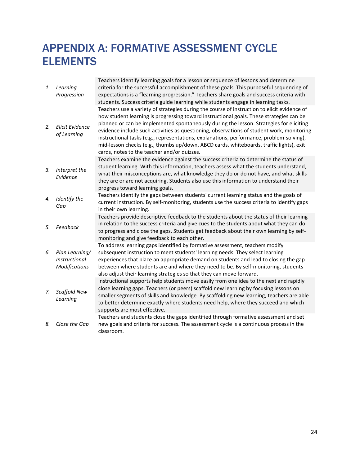# <span id="page-24-0"></span>APPENDIX A: FORMATIVE ASSESSMENT CYCLE **ELEMENTS**

 $\sim$ 

|    |                        | Teachers identify learning goals for a lesson or sequence of lessons and determine                                                     |
|----|------------------------|----------------------------------------------------------------------------------------------------------------------------------------|
| 1. | Learning               | criteria for the successful accomplishment of these goals. This purposeful sequencing of                                               |
|    | Progression            | expectations is a "learning progression." Teachers share goals and success criteria with                                               |
|    |                        | students. Success criteria guide learning while students engage in learning tasks.                                                     |
|    |                        | Teachers use a variety of strategies during the course of instruction to elicit evidence of                                            |
|    |                        | how student learning is progressing toward instructional goals. These strategies can be                                                |
| 2. | <b>Elicit Evidence</b> | planned or can be implemented spontaneously during the lesson. Strategies for eliciting                                                |
|    | of Learning            | evidence include such activities as questioning, observations of student work, monitoring                                              |
|    |                        | instructional tasks (e.g., representations, explanations, performance, problem-solving),                                               |
|    |                        | mid-lesson checks (e.g., thumbs up/down, ABCD cards, whiteboards, traffic lights), exit                                                |
|    |                        | cards, notes to the teacher and/or quizzes.                                                                                            |
|    |                        | Teachers examine the evidence against the success criteria to determine the status of                                                  |
| 3. | Interpret the          | student learning. With this information, teachers assess what the students understand,                                                 |
|    | Evidence               | what their misconceptions are, what knowledge they do or do not have, and what skills                                                  |
|    |                        | they are or are not acquiring. Students also use this information to understand their                                                  |
|    |                        | progress toward learning goals.                                                                                                        |
| 4. | Identify the           | Teachers identify the gaps between students' current learning status and the goals of                                                  |
|    | Gap                    | current instruction. By self-monitoring, students use the success criteria to identify gaps                                            |
|    |                        | in their own learning.                                                                                                                 |
|    |                        | Teachers provide descriptive feedback to the students about the status of their learning                                               |
| 5. | Feedback               | in relation to the success criteria and give cues to the students about what they can do                                               |
|    |                        | to progress and close the gaps. Students get feedback about their own learning by self-<br>monitoring and give feedback to each other. |
|    |                        | To address learning gaps identified by formative assessment, teachers modify                                                           |
| 6. | Plan Learning/         | subsequent instruction to meet students' learning needs. They select learning                                                          |
|    | Instructional          | experiences that place an appropriate demand on students and lead to closing the gap                                                   |
|    | <b>Modifications</b>   | between where students are and where they need to be. By self-monitoring, students                                                     |
|    |                        | also adjust their learning strategies so that they can move forward.                                                                   |
|    |                        | Instructional supports help students move easily from one idea to the next and rapidly                                                 |
|    |                        | close learning gaps. Teachers (or peers) scaffold new learning by focusing lessons on                                                  |
| 7. | Scaffold New           | smaller segments of skills and knowledge. By scaffolding new learning, teachers are able                                               |
|    | Learning               | to better determine exactly where students need help, where they succeed and which                                                     |
|    |                        | supports are most effective.                                                                                                           |
|    |                        | Teachers and students close the gaps identified through formative assessment and set                                                   |
| 8. | Close the Gap          | new goals and criteria for success. The assessment cycle is a continuous process in the                                                |
|    |                        | classroom.                                                                                                                             |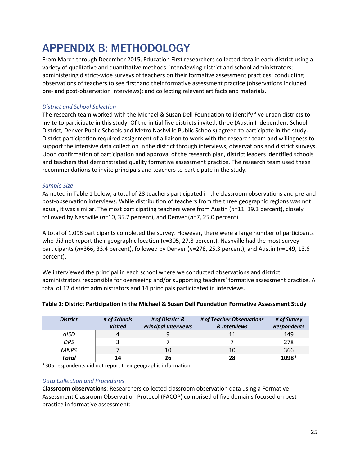# <span id="page-25-0"></span>APPENDIX B: METHODOLOGY

From March through December 2015, Education First researchers collected data in each district using a variety of qualitative and quantitative methods: interviewing district and school administrators; administering district-wide surveys of teachers on their formative assessment practices; conducting observations of teachers to see firsthand their formative assessment practice (observations included pre- and post-observation interviews); and collecting relevant artifacts and materials.

# *District and School Selection*

The research team worked with the Michael & Susan Dell Foundation to identify five urban districts to invite to participate in this study. Of the initial five districts invited, three (Austin Independent School District, Denver Public Schools and Metro Nashville Public Schools) agreed to participate in the study. District participation required assignment of a liaison to work with the research team and willingness to support the intensive data collection in the district through interviews, observations and district surveys. Upon confirmation of participation and approval of the research plan, district leaders identified schools and teachers that demonstrated quality formative assessment practice. The research team used these recommendations to invite principals and teachers to participate in the study.

## *Sample Size*

As noted in Table 1 below, a total of 28 teachers participated in the classroom observations and pre-and post-observation interviews. While distribution of teachers from the three geographic regions was not equal, it was similar. The most participating teachers were from Austin (*n*=11, 39.3 percent), closely followed by Nashville (*n*=10, 35.7 percent), and Denver (*n*=7, 25.0 percent).

A total of 1,098 participants completed the survey. However, there were a large number of participants who did not report their geographic location (*n*=305, 27.8 percent). Nashville had the most survey participants (*n*=366, 33.4 percent), followed by Denver (*n*=278, 25.3 percent), and Austin (*n*=149, 13.6 percent).

We interviewed the principal in each school where we conducted observations and district administrators responsible for overseeing and/or supporting teachers' formative assessment practice. A total of 12 district administrators and 14 principals participated in interviews.

| <b>District</b> | # of Schools<br><b>Visited</b> | # of District &<br><b>Principal Interviews</b> | # of Teacher Observations<br>& Interviews | # of Survey<br><b>Respondents</b> |
|-----------------|--------------------------------|------------------------------------------------|-------------------------------------------|-----------------------------------|
| AISD            |                                |                                                | 11                                        | 149                               |
| <b>DPS</b>      |                                |                                                |                                           | 278                               |
| <b>MNPS</b>     |                                | 10                                             | 10                                        | 366                               |
| <b>Total</b>    | 14                             | 26                                             | 28                                        | 1098*                             |

### **Table 1: District Participation in the Michael & Susan Dell Foundation Formative Assessment Study**

\*305 respondents did not report their geographic information

### *Data Collection and Procedures*

**Classroom observations**: Researchers collected classroom observation data using a Formative Assessment Classroom Observation Protocol (FACOP) comprised of five domains focused on best practice in formative assessment: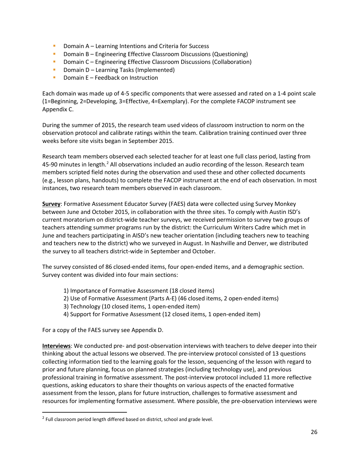- **Domain A** Learning Intentions and Criteria for Success
- **Domain B Engineering Effective Classroom Discussions (Questioning)**
- **•** Domain C Engineering Effective Classroom Discussions (Collaboration)
- **Domain D Learning Tasks (Implemented)**
- Domain  $E Feedback on Instruction$

Each domain was made up of 4-5 specific components that were assessed and rated on a 1-4 point scale (1=Beginning, 2=Developing, 3=Effective, 4=Exemplary). For the complete FACOP instrument see Appendix C.

During the summer of 2015, the research team used videos of classroom instruction to norm on the observation protocol and calibrate ratings within the team. Calibration training continued over three weeks before site visits began in September 2015.

Research team members observed each selected teacher for at least one full class period, lasting from 45-90 minutes in length.<sup>2</sup> All observations included an audio recording of the lesson. Research team members scripted field notes during the observation and used these and other collected documents (e.g., lesson plans, handouts) to complete the FACOP instrument at the end of each observation. In most instances, two research team members observed in each classroom.

**Survey**: Formative Assessment Educator Survey (FAES) data were collected using Survey Monkey between June and October 2015, in collaboration with the three sites. To comply with Austin ISD's current moratorium on district-wide teacher surveys, we received permission to survey two groups of teachers attending summer programs run by the district: the Curriculum Writers Cadre which met in June and teachers participating in AISD's new teacher orientation (including teachers new to teaching and teachers new to the district) who we surveyed in August. In Nashville and Denver, we distributed the survey to all teachers district-wide in September and October.

The survey consisted of 86 closed-ended items, four open-ended items, and a demographic section. Survey content was divided into four main sections:

- 1) Importance of Formative Assessment (18 closed items)
- 2) Use of Formative Assessment (Parts A-E) (46 closed items, 2 open-ended items)
- 3) Technology (10 closed items, 1 open-ended item)
- 4) Support for Formative Assessment (12 closed items, 1 open-ended item)

For a copy of the FAES survey see Appendix D.

**Interviews**: We conducted pre- and post-observation interviews with teachers to delve deeper into their thinking about the actual lessons we observed. The pre-interview protocol consisted of 13 questions collecting information tied to the learning goals for the lesson, sequencing of the lesson with regard to prior and future planning, focus on planned strategies (including technology use), and previous professional training in formative assessment. The post-interview protocol included 11 more reflective questions, asking educators to share their thoughts on various aspects of the enacted formative assessment from the lesson, plans for future instruction, challenges to formative assessment and resources for implementing formative assessment. Where possible, the pre-observation interviews were

<span id="page-26-0"></span> $2$  Full classroom period length differed based on district, school and grade level.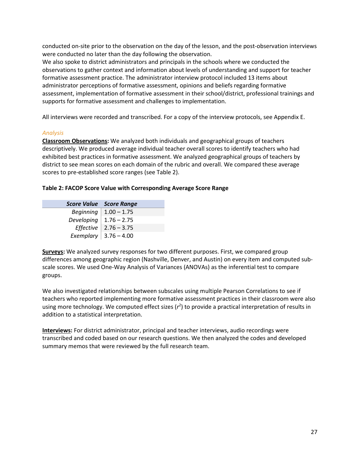conducted on-site prior to the observation on the day of the lesson, and the post-observation interviews were conducted no later than the day following the observation.

We also spoke to district administrators and principals in the schools where we conducted the observations to gather context and information about levels of understanding and support for teacher formative assessment practice. The administrator interview protocol included 13 items about administrator perceptions of formative assessment, opinions and beliefs regarding formative assessment, implementation of formative assessment in their school/district, professional trainings and supports for formative assessment and challenges to implementation.

All interviews were recorded and transcribed. For a copy of the interview protocols, see Appendix E.

#### *Analysis*

**Classroom Observations:** We analyzed both individuals and geographical groups of teachers descriptively. We produced average individual teacher overall scores to identify teachers who had exhibited best practices in formative assessment. We analyzed geographical groups of teachers by district to see mean scores on each domain of the rubric and overall. We compared these average scores to pre-established score ranges (see Table 2).

### **Table 2: FACOP Score Value with Corresponding Average Score Range**

|                            | <b>Score Value</b> Score Range |
|----------------------------|--------------------------------|
|                            | Beginning   $1.00 - 1.75$      |
| Developing   $1.76 - 2.75$ |                                |
|                            | Effective   $2.76 - 3.75$      |
|                            | Exemplary $ 3.76 - 4.00$       |

**Surveys:** We analyzed survey responses for two different purposes. First, we compared group differences among geographic region (Nashville, Denver, and Austin) on every item and computed subscale scores. We used One-Way Analysis of Variances (ANOVAs) as the inferential test to compare groups.

We also investigated relationships between subscales using multiple Pearson Correlations to see if teachers who reported implementing more formative assessment practices in their classroom were also using more technology. We computed effect sizes  $(r^2)$  to provide a practical interpretation of results in addition to a statistical interpretation.

**Interviews:** For district administrator, principal and teacher interviews, audio recordings were transcribed and coded based on our research questions. We then analyzed the codes and developed summary memos that were reviewed by the full research team.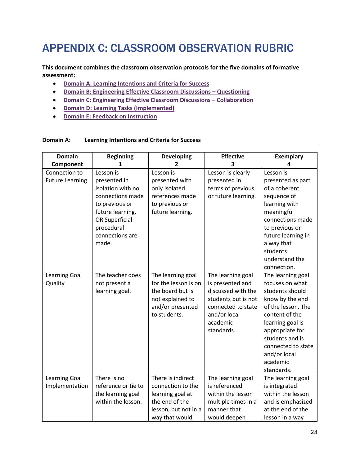# <span id="page-28-0"></span>APPENDIX C: CLASSROOM OBSERVATION RUBRIC

**This document combines the classroom observation protocols for the five domains of formative assessment:**

- **[Domain A: Learning Intentions and Criteria for Success](#page-28-1)**
- **[Domain B: Engineering Effective Classroom Discussions –](#page-30-0) Questioning**
- **[Domain C: Engineering Effective Classroom Discussions –](#page-31-0) Collaboration**
- **[Domain D: Learning Tasks \(Implemented\)](#page-32-0)**
- **[Domain E: Feedback on Instruction](#page-12-2)**

#### <span id="page-28-1"></span>**Domain A: Learning Intentions and Criteria for Success**

| <b>Domain</b>                           | <b>Beginning</b>                                                                                                                                                     | <b>Developing</b>                                                                                                      | <b>Effective</b>                                                                                                                                   | <b>Exemplary</b>                                                                                                                                                                                                                             |
|-----------------------------------------|----------------------------------------------------------------------------------------------------------------------------------------------------------------------|------------------------------------------------------------------------------------------------------------------------|----------------------------------------------------------------------------------------------------------------------------------------------------|----------------------------------------------------------------------------------------------------------------------------------------------------------------------------------------------------------------------------------------------|
| Component                               | 1                                                                                                                                                                    | 2                                                                                                                      | 3                                                                                                                                                  | 4                                                                                                                                                                                                                                            |
| Connection to<br><b>Future Learning</b> | Lesson is<br>presented in<br>isolation with no<br>connections made<br>to previous or<br>future learning.<br>OR Superficial<br>procedural<br>connections are<br>made. | Lesson is<br>presented with<br>only isolated<br>references made<br>to previous or<br>future learning.                  | Lesson is clearly<br>presented in<br>terms of previous<br>or future learning.                                                                      | Lesson is<br>presented as part<br>of a coherent<br>sequence of<br>learning with<br>meaningful<br>connections made<br>to previous or<br>future learning in<br>a way that<br>students<br>understand the<br>connection.                         |
| <b>Learning Goal</b><br>Quality         | The teacher does<br>not present a<br>learning goal.                                                                                                                  | The learning goal<br>for the lesson is on<br>the board but is<br>not explained to<br>and/or presented<br>to students.  | The learning goal<br>is presented and<br>discussed with the<br>students but is not<br>connected to state<br>and/or local<br>academic<br>standards. | The learning goal<br>focuses on what<br>students should<br>know by the end<br>of the lesson. The<br>content of the<br>learning goal is<br>appropriate for<br>students and is<br>connected to state<br>and/or local<br>academic<br>standards. |
| <b>Learning Goal</b><br>Implementation  | There is no<br>reference or tie to<br>the learning goal<br>within the lesson.                                                                                        | There is indirect<br>connection to the<br>learning goal at<br>the end of the<br>lesson, but not in a<br>way that would | The learning goal<br>is referenced<br>within the lesson<br>multiple times in a<br>manner that<br>would deepen                                      | The learning goal<br>is integrated<br>within the lesson<br>and is emphasized<br>at the end of the<br>lesson in a way                                                                                                                         |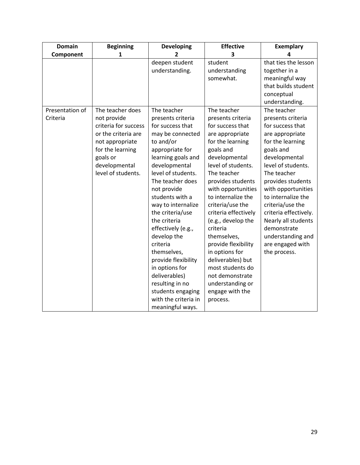| <b>Domain</b>   | <b>Beginning</b>     | <b>Developing</b>    | <b>Effective</b>     | <b>Exemplary</b>      |
|-----------------|----------------------|----------------------|----------------------|-----------------------|
| Component       | 1                    | $\overline{2}$       | 3                    | Δ                     |
|                 |                      | deepen student       | student              | that ties the lesson  |
|                 |                      | understanding.       | understanding        | together in a         |
|                 |                      |                      | somewhat.            | meaningful way        |
|                 |                      |                      |                      | that builds student   |
|                 |                      |                      |                      | conceptual            |
|                 |                      |                      |                      | understanding.        |
| Presentation of | The teacher does     | The teacher          | The teacher          | The teacher           |
| Criteria        | not provide          | presents criteria    | presents criteria    | presents criteria     |
|                 | criteria for success | for success that     | for success that     | for success that      |
|                 | or the criteria are  | may be connected     | are appropriate      | are appropriate       |
|                 | not appropriate      | to and/or            | for the learning     | for the learning      |
|                 | for the learning     | appropriate for      | goals and            | goals and             |
|                 | goals or             | learning goals and   | developmental        | developmental         |
|                 | developmental        | developmental        | level of students.   | level of students.    |
|                 | level of students.   | level of students.   | The teacher          | The teacher           |
|                 |                      | The teacher does     | provides students    | provides students     |
|                 |                      | not provide          | with opportunities   | with opportunities    |
|                 |                      | students with a      | to internalize the   | to internalize the    |
|                 |                      | way to internalize   | criteria/use the     | criteria/use the      |
|                 |                      | the criteria/use     | criteria effectively | criteria effectively. |
|                 |                      | the criteria         | (e.g., develop the   | Nearly all students   |
|                 |                      | effectively (e.g.,   | criteria             | demonstrate           |
|                 |                      | develop the          | themselves,          | understanding and     |
|                 |                      | criteria             | provide flexibility  | are engaged with      |
|                 |                      | themselves,          | in options for       | the process.          |
|                 |                      | provide flexibility  | deliverables) but    |                       |
|                 |                      | in options for       | most students do     |                       |
|                 |                      | deliverables)        | not demonstrate      |                       |
|                 |                      | resulting in no      | understanding or     |                       |
|                 |                      | students engaging    | engage with the      |                       |
|                 |                      | with the criteria in | process.             |                       |
|                 |                      | meaningful ways.     |                      |                       |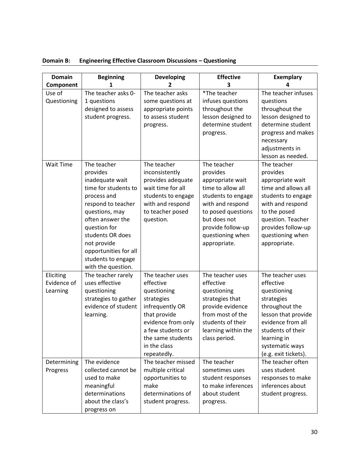| <b>Domain</b>                        | <b>Beginning</b>                                                                                                                                                                                                                                                      | <b>Developing</b>                                                                                                                                                                            | <b>Effective</b>                                                                                                                                                                                          | <b>Exemplary</b>                                                                                                                                                                                            |
|--------------------------------------|-----------------------------------------------------------------------------------------------------------------------------------------------------------------------------------------------------------------------------------------------------------------------|----------------------------------------------------------------------------------------------------------------------------------------------------------------------------------------------|-----------------------------------------------------------------------------------------------------------------------------------------------------------------------------------------------------------|-------------------------------------------------------------------------------------------------------------------------------------------------------------------------------------------------------------|
| Component                            | 1                                                                                                                                                                                                                                                                     | 2                                                                                                                                                                                            | 3                                                                                                                                                                                                         |                                                                                                                                                                                                             |
| Use of<br>Questioning                | The teacher asks 0-<br>1 questions<br>designed to assess<br>student progress.                                                                                                                                                                                         | The teacher asks<br>some questions at<br>appropriate points<br>to assess student<br>progress.                                                                                                | *The teacher<br>infuses questions<br>throughout the<br>lesson designed to<br>determine student<br>progress.                                                                                               | The teacher infuses<br>questions<br>throughout the<br>lesson designed to<br>determine student<br>progress and makes<br>necessary<br>adjustments in<br>lesson as needed.                                     |
| <b>Wait Time</b>                     | The teacher<br>provides<br>inadequate wait<br>time for students to<br>process and<br>respond to teacher<br>questions, may<br>often answer the<br>question for<br>students OR does<br>not provide<br>opportunities for all<br>students to engage<br>with the question. | The teacher<br>inconsistently<br>provides adequate<br>wait time for all<br>students to engage<br>with and respond<br>to teacher posed<br>question.                                           | The teacher<br>provides<br>appropriate wait<br>time to allow all<br>students to engage<br>with and respond<br>to posed questions<br>but does not<br>provide follow-up<br>questioning when<br>appropriate. | The teacher<br>provides<br>appropriate wait<br>time and allows all<br>students to engage<br>with and respond<br>to the posed<br>question. Teacher<br>provides follow-up<br>questioning when<br>appropriate. |
| Eliciting<br>Evidence of<br>Learning | The teacher rarely<br>uses effective<br>questioning<br>strategies to gather<br>evidence of student<br>learning.                                                                                                                                                       | The teacher uses<br>effective<br>questioning<br>strategies<br>infrequently OR<br>that provide<br>evidence from only<br>a few students or<br>the same students<br>in the class<br>repeatedly. | The teacher uses<br>effective<br>questioning<br>strategies that<br>provide evidence<br>from most of the<br>students of their<br>learning within the<br>class period.                                      | The teacher uses<br>effective<br>questioning<br>strategies<br>throughout the<br>lesson that provide<br>evidence from all<br>students of their<br>learning in<br>systematic ways<br>(e.g. exit tickets).     |
| Determining<br>Progress              | The evidence<br>collected cannot be<br>used to make<br>meaningful<br>determinations<br>about the class's<br>progress on                                                                                                                                               | The teacher missed<br>multiple critical<br>opportunities to<br>make<br>determinations of<br>student progress.                                                                                | The teacher<br>sometimes uses<br>student responses<br>to make inferences<br>about student<br>progress.                                                                                                    | The teacher often<br>uses student<br>responses to make<br>inferences about<br>student progress.                                                                                                             |

<span id="page-30-0"></span>

| Domain B: | <b>Engineering Effective Classroom Discussions - Questioning</b> |
|-----------|------------------------------------------------------------------|
|-----------|------------------------------------------------------------------|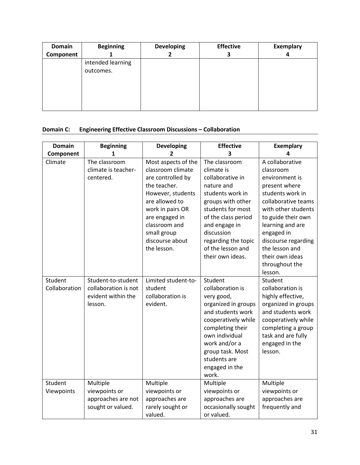| <b>Domain</b> | <b>Beginning</b>  | <b>Developing</b> | <b>Effective</b> | <b>Exemplary</b> |
|---------------|-------------------|-------------------|------------------|------------------|
| Component     |                   |                   |                  | 4                |
|               | intended learning |                   |                  |                  |
|               | outcomes.         |                   |                  |                  |
|               |                   |                   |                  |                  |
|               |                   |                   |                  |                  |
|               |                   |                   |                  |                  |
|               |                   |                   |                  |                  |
|               |                   |                   |                  |                  |

# <span id="page-31-0"></span>**Domain C: Engineering Effective Classroom Discussions – Collaboration**

| <b>Domain</b> | <b>Beginning</b>     | <b>Developing</b>   | <b>Effective</b>    | <b>Exemplary</b>    |
|---------------|----------------------|---------------------|---------------------|---------------------|
| Component     | 1                    | 2                   | 3                   |                     |
| Climate       | The classroom        | Most aspects of the | The classroom       | A collaborative     |
|               | climate is teacher-  | classroom climate   | climate is          | classroom           |
|               | centered.            | are controlled by   | collaborative in    | environment is      |
|               |                      | the teacher.        | nature and          | present where       |
|               |                      | However, students   | students work in    | students work in    |
|               |                      | are allowed to      | groups with other   | collaborative teams |
|               |                      | work in pairs OR    | students for most   | with other students |
|               |                      | are engaged in      | of the class period | to guide their own  |
|               |                      | classroom and       | and engage in       | learning and are    |
|               |                      | small group         | discussion          | engaged in          |
|               |                      | discourse about     | regarding the topic | discourse regarding |
|               |                      | the lesson.         | of the lesson and   | the lesson and      |
|               |                      |                     | their own ideas.    | their own ideas     |
|               |                      |                     |                     | throughout the      |
|               |                      |                     |                     | lesson.             |
| Student       | Student-to-student   | Limited student-to- | Student             | Student             |
| Collaboration | collaboration is not | student             | collaboration is    | collaboration is    |
|               | evident within the   | collaboration is    | very good,          | highly effective,   |
|               | lesson.              | evident.            | organized in groups | organized in groups |
|               |                      |                     | and students work   | and students work   |
|               |                      |                     | cooperatively while | cooperatively while |
|               |                      |                     | completing their    | completing a group  |
|               |                      |                     | own individual      | task and are fully  |
|               |                      |                     | work and/or a       | engaged in the      |
|               |                      |                     | group task. Most    | lesson.             |
|               |                      |                     | students are        |                     |
|               |                      |                     | engaged in the      |                     |
|               |                      |                     | work.               |                     |
| Student       | Multiple             | Multiple            | Multiple            | Multiple            |
| Viewpoints    | viewpoints or        | viewpoints or       | viewpoints or       | viewpoints or       |
|               | approaches are not   | approaches are      | approaches are      | approaches are      |
|               | sought or valued.    | rarely sought or    | occasionally sought | frequently and      |
|               |                      | valued.             | or valued.          |                     |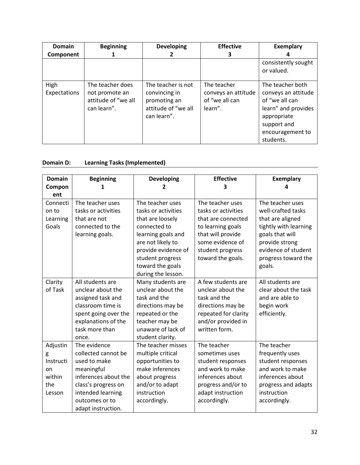| <b>Domain</b>        | <b>Beginning</b>                                                         | <b>Developing</b>                                                                         | <b>Effective</b>                                                | <b>Exemplary</b>                                                                                                                                |
|----------------------|--------------------------------------------------------------------------|-------------------------------------------------------------------------------------------|-----------------------------------------------------------------|-------------------------------------------------------------------------------------------------------------------------------------------------|
| Component            |                                                                          |                                                                                           | з                                                               |                                                                                                                                                 |
|                      |                                                                          |                                                                                           |                                                                 | consistently sought<br>or valued.                                                                                                               |
| High<br>Expectations | The teacher does<br>not promote an<br>attitude of "we all<br>can learn". | The teacher is not<br>convincing in<br>promoting an<br>attitude of "we all<br>can learn". | The teacher<br>conveys an attitude<br>of "we all can<br>learn". | The teacher both<br>conveys an attitude<br>of "we all can<br>learn" and provides<br>appropriate<br>support and<br>encouragement to<br>students. |

# <span id="page-32-0"></span>**Domain D: Learning Tasks (Implemented)**

| <b>Domain</b> | <b>Beginning</b>     | <b>Developing</b>   | <b>Effective</b>     | <b>Exemplary</b>      |
|---------------|----------------------|---------------------|----------------------|-----------------------|
| Compon        |                      | 2                   | 3                    |                       |
| ent           |                      |                     |                      |                       |
| Connecti      | The teacher uses     | The teacher uses    | The teacher uses     | The teacher uses      |
| on to         | tasks or activities  | tasks or activities | tasks or activities  | well-crafted tasks    |
| Learning      | that are not         | that are loosely    | that are connected   | that are aligned      |
| Goals         | connected to the     | connected to        | to learning goals    | tightly with learning |
|               | learning goals.      | learning goals and  | that will provide    | goals that will       |
|               |                      | are not likely to   | some evidence of     | provide strong        |
|               |                      | provide evidence of | student progress     | evidence of student   |
|               |                      | student progress    | toward the goals.    | progress toward the   |
|               |                      | toward the goals    |                      | goals.                |
|               |                      | during the lesson.  |                      |                       |
| Clarity       | All students are     | Many students are   | A few students are   | All students are      |
| of Task       | unclear about the    | unclear about the   | unclear about the    | clear about the task  |
|               | assigned task and    | task and the        | task and the         | and are able to       |
|               | classroom time is    | directions may be   | directions may be    | begin work            |
|               | spent going over the | repeated or the     | repeated for clarity | efficiently.          |
|               | explanations of the  | teacher may be      | and/or provided in   |                       |
|               | task more than       | unaware of lack of  | written form.        |                       |
|               | once.                | student clarity.    |                      |                       |
| Adjustin      | The evidence         | The teacher misses  | The teacher          | The teacher           |
| g             | collected cannot be  | multiple critical   | sometimes uses       | frequently uses       |
| Instructi     | used to make         | opportunities to    | student responses    | student responses     |
| on            | meaningful           | make inferences     | and work to make     | and work to make      |
| within        | inferences about the | about progress      | inferences about     | inferences about      |
| the           | class's progress on  | and/or to adapt     | progress and/or to   | progress and adapts   |
| Lesson        | intended learning    | instruction         | adapt instruction    | instruction           |
|               | outcomes or to       | accordingly.        | accordingly.         | accordingly.          |
|               | adapt instruction.   |                     |                      |                       |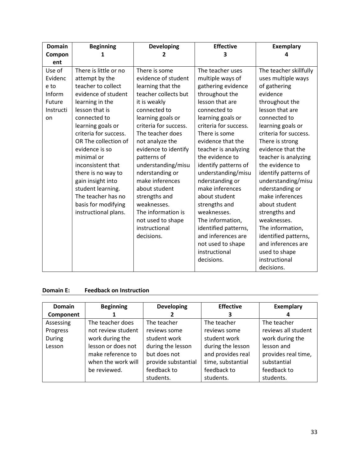| <b>Domain</b> | <b>Beginning</b>      | <b>Developing</b>     | <b>Effective</b>      | <b>Exemplary</b>       |
|---------------|-----------------------|-----------------------|-----------------------|------------------------|
| Compon        | 1                     | 2                     | 3                     | Δ                      |
| ent           |                       |                       |                       |                        |
| Use of        | There is little or no | There is some         | The teacher uses      | The teacher skillfully |
| Evidenc       | attempt by the        | evidence of student   | multiple ways of      | uses multiple ways     |
| e to          | teacher to collect    | learning that the     | gathering evidence    | of gathering           |
| Inform        | evidence of student   | teacher collects but  | throughout the        | evidence               |
| Future        | learning in the       | it is weakly          | lesson that are       | throughout the         |
| Instructi     | lesson that is        | connected to          | connected to          | lesson that are        |
| on            | connected to          | learning goals or     | learning goals or     | connected to           |
|               | learning goals or     | criteria for success. | criteria for success. | learning goals or      |
|               | criteria for success. | The teacher does      | There is some         | criteria for success.  |
|               | OR The collection of  | not analyze the       | evidence that the     | There is strong        |
|               | evidence is so        | evidence to identify  | teacher is analyzing  | evidence that the      |
|               | minimal or            | patterns of           | the evidence to       | teacher is analyzing   |
|               | inconsistent that     | understanding/misu    | identify patterns of  | the evidence to        |
|               | there is no way to    | nderstanding or       | understanding/misu    | identify patterns of   |
|               | gain insight into     | make inferences       | nderstanding or       | understanding/misu     |
|               | student learning.     | about student         | make inferences       | nderstanding or        |
|               | The teacher has no    | strengths and         | about student         | make inferences        |
|               | basis for modifying   | weaknesses.           | strengths and         | about student          |
|               | instructional plans.  | The information is    | weaknesses.           | strengths and          |
|               |                       | not used to shape     | The information,      | weaknesses.            |
|               |                       | instructional         | identified patterns,  | The information,       |
|               |                       | decisions.            | and inferences are    | identified patterns,   |
|               |                       |                       | not used to shape     | and inferences are     |
|               |                       |                       | instructional         | used to shape          |
|               |                       |                       | decisions.            | instructional          |
|               |                       |                       |                       | decisions.             |

#### **Domain E: Feedback on Instruction**

| <b>Domain</b> | <b>Beginning</b>   | <b>Developing</b>   | <b>Effective</b>  | <b>Exemplary</b>    |
|---------------|--------------------|---------------------|-------------------|---------------------|
| Component     |                    |                     |                   |                     |
| Assessing     | The teacher does   | The teacher         | The teacher       | The teacher         |
| Progress      | not review student | reviews some        | reviews some      | reviews all student |
| During        | work during the    | student work        | student work      | work during the     |
| Lesson        | lesson or does not | during the lesson   | during the lesson | lesson and          |
|               | make reference to  | but does not        | and provides real | provides real time, |
|               | when the work will | provide substantial | time, substantial | substantial         |
|               | be reviewed.       | feedback to         | feedback to       | feedback to         |
|               |                    | students.           | students.         | students.           |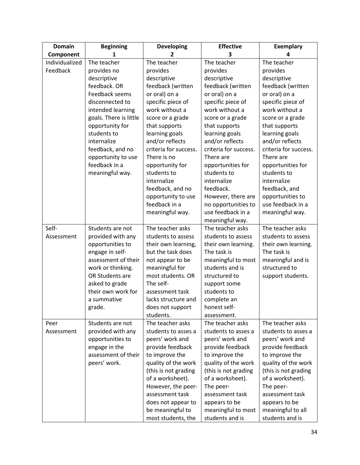| <b>Exemplary</b>                            |
|---------------------------------------------|
|                                             |
|                                             |
|                                             |
|                                             |
| feedback (written                           |
|                                             |
| specific piece of                           |
| work without a                              |
| score or a grade                            |
| that supports                               |
| learning goals                              |
| and/or reflects                             |
| criteria for success.                       |
|                                             |
| opportunities for                           |
|                                             |
|                                             |
| feedback, and                               |
| opportunities to                            |
| use feedback in a                           |
| meaningful way.                             |
|                                             |
| The teacher asks                            |
| students to assess                          |
| their own learning.                         |
|                                             |
| meaningful and is                           |
| structured to                               |
| support students.                           |
|                                             |
|                                             |
|                                             |
|                                             |
|                                             |
| The teacher asks                            |
| students to asses a                         |
| peers' work and                             |
| provide feedback                            |
| to improve the                              |
| quality of the work<br>(this is not grading |
| of a worksheet).                            |
|                                             |
| assessment task                             |
| appears to be                               |
| meaningful to all                           |
| students and is                             |
|                                             |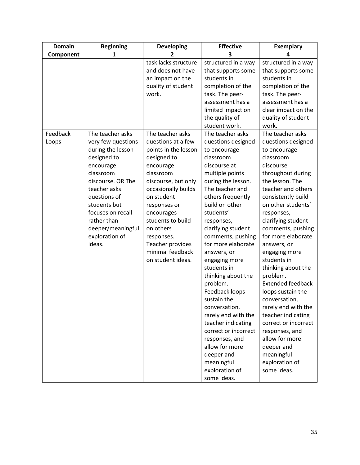<span id="page-35-0"></span>

| 1                                                                                                                                                                                                                                | 2                                                                                                                                                                                                                                                                                          | 3                                                                                                                                                                                                                                                                                                                                                                                                                                                                                                                                      | 4                                                                                                                                                                                                                                                                                                                                                                                                                                                                                                                                                                                                  |
|----------------------------------------------------------------------------------------------------------------------------------------------------------------------------------------------------------------------------------|--------------------------------------------------------------------------------------------------------------------------------------------------------------------------------------------------------------------------------------------------------------------------------------------|----------------------------------------------------------------------------------------------------------------------------------------------------------------------------------------------------------------------------------------------------------------------------------------------------------------------------------------------------------------------------------------------------------------------------------------------------------------------------------------------------------------------------------------|----------------------------------------------------------------------------------------------------------------------------------------------------------------------------------------------------------------------------------------------------------------------------------------------------------------------------------------------------------------------------------------------------------------------------------------------------------------------------------------------------------------------------------------------------------------------------------------------------|
|                                                                                                                                                                                                                                  |                                                                                                                                                                                                                                                                                            |                                                                                                                                                                                                                                                                                                                                                                                                                                                                                                                                        |                                                                                                                                                                                                                                                                                                                                                                                                                                                                                                                                                                                                    |
|                                                                                                                                                                                                                                  | task lacks structure<br>and does not have<br>an impact on the<br>quality of student<br>work.                                                                                                                                                                                               | structured in a way<br>that supports some<br>students in<br>completion of the<br>task. The peer-<br>assessment has a<br>limited impact on<br>the quality of                                                                                                                                                                                                                                                                                                                                                                            | structured in a way<br>that supports some<br>students in<br>completion of the<br>task. The peer-<br>assessment has a<br>clear impact on the<br>quality of student                                                                                                                                                                                                                                                                                                                                                                                                                                  |
|                                                                                                                                                                                                                                  |                                                                                                                                                                                                                                                                                            |                                                                                                                                                                                                                                                                                                                                                                                                                                                                                                                                        | work.                                                                                                                                                                                                                                                                                                                                                                                                                                                                                                                                                                                              |
| very few questions<br>during the lesson<br>designed to<br>encourage<br>classroom<br>discourse. OR The<br>teacher asks<br>questions of<br>students but<br>focuses on recall<br>rather than<br>deeper/meaningful<br>exploration of | questions at a few<br>points in the lesson<br>designed to<br>encourage<br>classroom<br>discourse, but only<br>occasionally builds<br>on student<br>responses or<br>encourages<br>students to build<br>on others<br>responses.<br>Teacher provides<br>minimal feedback<br>on student ideas. | questions designed<br>to encourage<br>classroom<br>discourse at<br>multiple points<br>during the lesson.<br>The teacher and<br>others frequently<br>build on other<br>students'<br>responses,<br>clarifying student<br>comments, pushing<br>for more elaborate<br>answers, or<br>engaging more<br>students in<br>thinking about the<br>problem.<br>Feedback loops<br>sustain the<br>conversation,<br>rarely end with the<br>teacher indicating<br>correct or incorrect<br>responses, and<br>allow for more<br>deeper and<br>meaningful | The teacher asks<br>questions designed<br>to encourage<br>classroom<br>discourse<br>throughout during<br>the lesson. The<br>teacher and others<br>consistently build<br>on other students'<br>responses,<br>clarifying student<br>comments, pushing<br>for more elaborate<br>answers, or<br>engaging more<br>students in<br>thinking about the<br>problem.<br><b>Extended feedback</b><br>loops sustain the<br>conversation,<br>rarely end with the<br>teacher indicating<br>correct or incorrect<br>responses, and<br>allow for more<br>deeper and<br>meaningful<br>exploration of<br>some ideas. |
|                                                                                                                                                                                                                                  | The teacher asks                                                                                                                                                                                                                                                                           | The teacher asks                                                                                                                                                                                                                                                                                                                                                                                                                                                                                                                       | student work.<br>The teacher asks<br>exploration of<br>some ideas.                                                                                                                                                                                                                                                                                                                                                                                                                                                                                                                                 |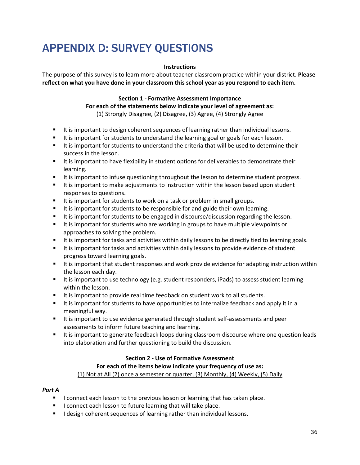# APPENDIX D: SURVEY QUESTIONS

#### **Instructions**

The purpose of this survey is to learn more about teacher classroom practice within your district. **Please reflect on what you have done in your classroom this school year as you respond to each item.**

#### **Section 1 - Formative Assessment Importance**

**For each of the statements below indicate your level of agreement as:** (1) Strongly Disagree, (2) Disagree, (3) Agree, (4) Strongly Agree

- It is important to design coherent sequences of learning rather than individual lessons.
- It is important for students to understand the learning goal or goals for each lesson.
- It is important for students to understand the criteria that will be used to determine their success in the lesson.
- It is important to have flexibility in student options for deliverables to demonstrate their learning.
- It is important to infuse questioning throughout the lesson to determine student progress.
- If is important to make adjustments to instruction within the lesson based upon student responses to questions.
- It is important for students to work on a task or problem in small groups.
- It is important for students to be responsible for and guide their own learning.
- It is important for students to be engaged in discourse/discussion regarding the lesson.
- It is important for students who are working in groups to have multiple viewpoints or approaches to solving the problem.
- It is important for tasks and activities within daily lessons to be directly tied to learning goals.
- It is important for tasks and activities within daily lessons to provide evidence of student progress toward learning goals.
- It is important that student responses and work provide evidence for adapting instruction within the lesson each day.
- It is important to use technology (e.g. student responders, iPads) to assess student learning within the lesson.
- It is important to provide real time feedback on student work to all students.
- It is important for students to have opportunities to internalize feedback and apply it in a meaningful way.
- It is important to use evidence generated through student self-assessments and peer assessments to inform future teaching and learning.
- If is important to generate feedback loops during classroom discourse where one question leads into elaboration and further questioning to build the discussion.

### **Section 2 - Use of Formative Assessment**

### **For each of the items below indicate your frequency of use as:**

(1) Not at All (2) once a semester or quarter, (3) Monthly, (4) Weekly, (5) Daily

#### *Part A*

- I connect each lesson to the previous lesson or learning that has taken place.
- I connect each lesson to future learning that will take place.
- **I** design coherent sequences of learning rather than individual lessons.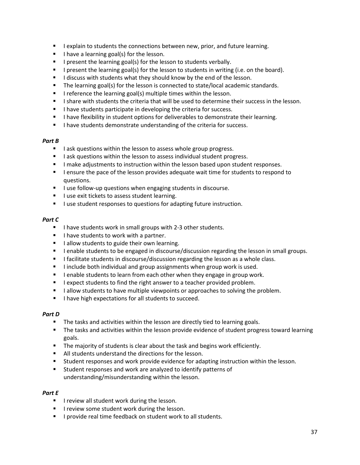- **I** lexplain to students the connections between new, prior, and future learning.
- I have a learning goal(s) for the lesson.
- I present the learning goal(s) for the lesson to students verbally.
- I present the learning goal(s) for the lesson to students in writing (i.e. on the board).
- I discuss with students what they should know by the end of the lesson.
- The learning goal(s) for the lesson is connected to state/local academic standards.
- **I** reference the learning goal(s) multiple times within the lesson.
- I share with students the criteria that will be used to determine their success in the lesson.
- I have students participate in developing the criteria for success.
- **I** have flexibility in student options for deliverables to demonstrate their learning.
- I have students demonstrate understanding of the criteria for success.

### *Part B*

- I ask questions within the lesson to assess whole group progress.
- I ask questions within the lesson to assess individual student progress.
- **I** make adjustments to instruction within the lesson based upon student responses.
- **I** lensure the pace of the lesson provides adequate wait time for students to respond to questions.
- I use follow-up questions when engaging students in discourse.
- I use exit tickets to assess student learning.
- **I** use student responses to questions for adapting future instruction.

### *Part C*

- I have students work in small groups with 2-3 other students.
- I have students to work with a partner.
- I allow students to guide their own learning.
- **I** lenable students to be engaged in discourse/discussion regarding the lesson in small groups.
- **I** facilitate students in discourse/discussion regarding the lesson as a whole class.
- I include both individual and group assignments when group work is used.
- **I** lenable students to learn from each other when they engage in group work.
- **I** lexpect students to find the right answer to a teacher provided problem.
- I allow students to have multiple viewpoints or approaches to solving the problem.
- I have high expectations for all students to succeed.

### *Part D*

- The tasks and activities within the lesson are directly tied to learning goals.
- **The tasks and activities within the lesson provide evidence of student progress toward learning** goals.
- **The majority of students is clear about the task and begins work efficiently.**
- All students understand the directions for the lesson.
- Student responses and work provide evidence for adapting instruction within the lesson.
- Student responses and work are analyzed to identify patterns of understanding/misunderstanding within the lesson.

### *Part E*

- **I** review all student work during the lesson.
- **I** review some student work during the lesson.
- **I** provide real time feedback on student work to all students.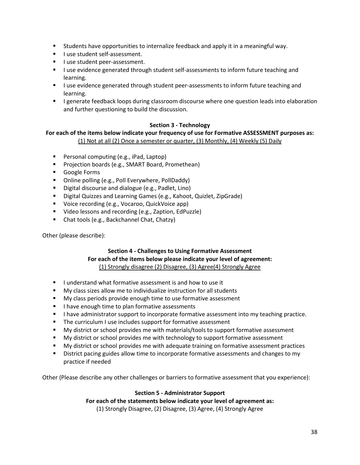- Students have opportunities to internalize feedback and apply it in a meaningful way.
- **I** luse student self-assessment.
- **I** luse student peer-assessment.
- **I** use evidence generated through student self-assessments to inform future teaching and learning.
- I use evidence generated through student peer-assessments to inform future teaching and learning.
- **I** generate feedback loops during classroom discourse where one question leads into elaboration and further questioning to build the discussion.

### **Section 3 - Technology**

### **For each of the items below indicate your frequency of use for Formative ASSESSMENT purposes as:** (1) Not at all (2) Once a semester or quarter, (3) Monthly, (4) Weekly (5) Daily

- **Personal computing (e.g., iPad, Laptop)**
- **Projection boards (e.g., SMART Board, Promethean)**
- **Google Forms**
- **•** Online polling (e.g., Poll Everywhere, PollDaddy)
- **Digital discourse and dialogue (e.g., Padlet, Lino)**
- **Digital Quizzes and Learning Games (e.g., Kahoot, Quizlet, ZipGrade)**
- **Voice recording (e.g., Vocaroo, QuickVoice app)**
- Video lessons and recording (e.g., Zaption, EdPuzzle)
- Chat tools (e.g., Backchannel Chat, Chatzy)

Other (please describe):

# **Section 4 - Challenges to Using Formative Assessment For each of the items below please indicate your level of agreement:** (1) Strongly disagree (2) Disagree, (3) Agree(4) Strongly Agree

- **I** understand what formative assessment is and how to use it
- **My class sizes allow me to individualize instruction for all students**
- **My class periods provide enough time to use formative assessment**
- I have enough time to plan formative assessments
- I have administrator support to incorporate formative assessment into my teaching practice.
- **The curriculum I use includes support for formative assessment**
- My district or school provides me with materials/tools to support formative assessment
- **My district or school provides me with technology to support formative assessment**
- **My district or school provides me with adequate training on formative assessment practices**
- District pacing guides allow time to incorporate formative assessments and changes to my practice if needed

Other (Please describe any other challenges or barriers to formative assessment that you experience):

# **Section 5 - Administrator Support**

**For each of the statements below indicate your level of agreement as:**

(1) Strongly Disagree, (2) Disagree, (3) Agree, (4) Strongly Agree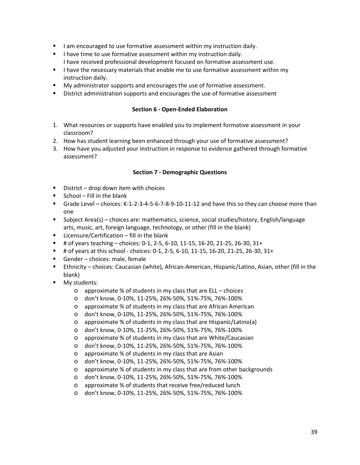- I am encouraged to use formative assessment within my instruction daily.
- I have time to use formative assessment within my instruction daily. I have received professional development focused on formative assessment use.
- I have the necessary materials that enable me to use formative assessment within my instruction daily.
- **My administrator supports and encourages the use of formative assessment.**
- **District administration supports and encourages the use of formative assessment**

#### **Section 6 - Open-Ended Elaboration**

- 1. What resources or supports have enabled you to implement formative assessment in your classroom?
- 2. How has student learning been enhanced through your use of formative assessment?
- 3. How have you adjusted your instruction in response to evidence gathered through formative assessment?

#### **Section 7 - Demographic Questions**

- $\blacksquare$  District drop down item with choices
- $\blacksquare$  School Fill in the blank
- Grade Level choices: K-1-2-3-4-5-6-7-8-9-10-11-12 and have this so they can choose more than one
- Subject Area(s) choices are: mathematics, science, social studies/history, English/language arts, music, art, foreign language, technology, or other (fill in the blank)
- **E** Licensure/Certification fill in the blank
- $\blacksquare$  # of years teaching choices: 0-1, 2-5, 6-10, 11-15, 16-20, 21-25, 26-30, 31+
- $\blacksquare$  # of years at this school choices: 0-1, 2-5, 6-10, 11-15, 16-20, 21-25, 26-30, 31+
- Gender choices: male, female
- Ethnicity choices: Caucasian (white), African-American, Hispanic/Latino, Asian, other (fill in the blank)
- **My students:** 
	- o approximate % of students in my class that are ELL choices
	- o don't know, 0-10%, 11-25%, 26%-50%, 51%-75%, 76%-100%
	- o approximate % of students in my class that are African American
	- o don't know, 0-10%, 11-25%, 26%-50%, 51%-75%, 76%-100%
	- o approximate % of students in my class that are Hispanic/Latino(a)
	- o don't know, 0-10%, 11-25%, 26%-50%, 51%-75%, 76%-100%
	- o approximate % of students in my class that are White/Caucasian
	- o don't know, 0-10%, 11-25%, 26%-50%, 51%-75%, 76%-100%
	- o approximate % of students in my class that are Asian
	- o don't know, 0-10%, 11-25%, 26%-50%, 51%-75%, 76%-100%
	- o approximate % of students in my class that are from other backgrounds
	- o don't know, 0-10%, 11-25%, 26%-50%, 51%-75%, 76%-100%
	- o approximate % of students that receive free/reduced lunch
	- o don't know, 0-10%, 11-25%, 26%-50%, 51%-75%, 76%-100%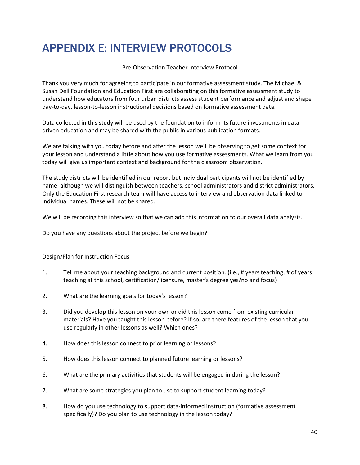# <span id="page-40-0"></span>APPENDIX E: INTERVIEW PROTOCOLS

Pre-Observation Teacher Interview Protocol

Thank you very much for agreeing to participate in our formative assessment study. The Michael & Susan Dell Foundation and Education First are collaborating on this formative assessment study to understand how educators from four urban districts assess student performance and adjust and shape day-to-day, lesson-to-lesson instructional decisions based on formative assessment data.

Data collected in this study will be used by the foundation to inform its future investments in datadriven education and may be shared with the public in various publication formats.

We are talking with you today before and after the lesson we'll be observing to get some context for your lesson and understand a little about how you use formative assessments. What we learn from you today will give us important context and background for the classroom observation.

The study districts will be identified in our report but individual participants will not be identified by name, although we will distinguish between teachers, school administrators and district administrators. Only the Education First research team will have access to interview and observation data linked to individual names. These will not be shared.

We will be recording this interview so that we can add this information to our overall data analysis.

Do you have any questions about the project before we begin?

### Design/Plan for Instruction Focus

- 1. Tell me about your teaching background and current position. (i.e., # years teaching, # of years teaching at this school, certification/licensure, master's degree yes/no and focus)
- 2. What are the learning goals for today's lesson?
- 3. Did you develop this lesson on your own or did this lesson come from existing curricular materials? Have you taught this lesson before? If so, are there features of the lesson that you use regularly in other lessons as well? Which ones?
- 4. How does this lesson connect to prior learning or lessons?
- 5. How does this lesson connect to planned future learning or lessons?
- 6. What are the primary activities that students will be engaged in during the lesson?
- 7. What are some strategies you plan to use to support student learning today?
- 8. How do you use technology to support data-informed instruction (formative assessment specifically)? Do you plan to use technology in the lesson today?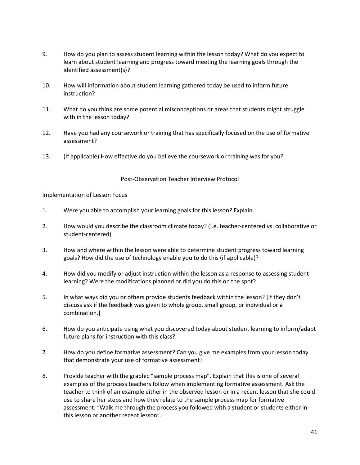- 9. How do you plan to assess student learning within the lesson today? What do you expect to learn about student learning and progress toward meeting the learning goals through the identified assessment(s)?
- 10. How will information about student learning gathered today be used to inform future instruction?
- 11. What do you think are some potential misconceptions or areas that students might struggle with in the lesson today?
- 12. Have you had any coursework or training that has specifically focused on the use of formative assessment?
- 13. (If applicable) How effective do you believe the coursework or training was for you?

Post-Observation Teacher Interview Protocol

Implementation of Lesson Focus

- 1. Were you able to accomplish your learning goals for this lesson? Explain.
- 2. How would you describe the classroom climate today? (i.e. teacher-centered vs. collaborative or student-centered)
- 3. How and where within the lesson were able to determine student progress toward learning goals? How did the use of technology enable you to do this (if applicable)?
- 4. How did you modify or adjust instruction within the lesson as a response to assessing student learning? Were the modifications planned or did you do this on the spot?
- 5. In what ways did you or others provide students feedback within the lesson? [If they don't discuss ask if the feedback was given to whole group, small group, or individual or a combination.]
- 6. How do you anticipate using what you discovered today about student learning to inform/adapt future plans for instruction with this class?
- 7. How do you define formative assessment? Can you give me examples from your lesson today that demonstrate your use of formative assessment?
- 8. Provide teacher with the graphic "sample process map". Explain that this is one of several examples of the process teachers follow when implementing formative assessment. Ask the teacher to think of an example either in the observed lesson or in a recent lesson that she could use to share her steps and how they relate to the sample process map for formative assessment. "Walk me through the process you followed with a student or students either in this lesson or another recent lesson".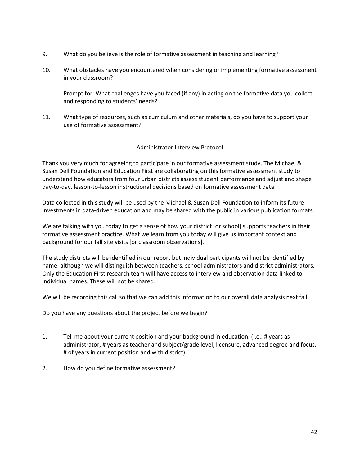- 9. What do you believe is the role of formative assessment in teaching and learning?
- 10. What obstacles have you encountered when considering or implementing formative assessment in your classroom?

Prompt for: What challenges have you faced (if any) in acting on the formative data you collect and responding to students' needs?

11. What type of resources, such as curriculum and other materials, do you have to support your use of formative assessment?

### Administrator Interview Protocol

Thank you very much for agreeing to participate in our formative assessment study. The Michael & Susan Dell Foundation and Education First are collaborating on this formative assessment study to understand how educators from four urban districts assess student performance and adjust and shape day-to-day, lesson-to-lesson instructional decisions based on formative assessment data.

Data collected in this study will be used by the Michael & Susan Dell Foundation to inform its future investments in data-driven education and may be shared with the public in various publication formats.

We are talking with you today to get a sense of how your district [or school] supports teachers in their formative assessment practice. What we learn from you today will give us important context and background for our fall site visits [or classroom observations].

The study districts will be identified in our report but individual participants will not be identified by name, although we will distinguish between teachers, school administrators and district administrators. Only the Education First research team will have access to interview and observation data linked to individual names. These will not be shared.

We will be recording this call so that we can add this information to our overall data analysis next fall.

Do you have any questions about the project before we begin?

- 1. Tell me about your current position and your background in education. (i.e., # years as administrator, # years as teacher and subject/grade level, licensure, advanced degree and focus, # of years in current position and with district).
- 2. How do you define formative assessment?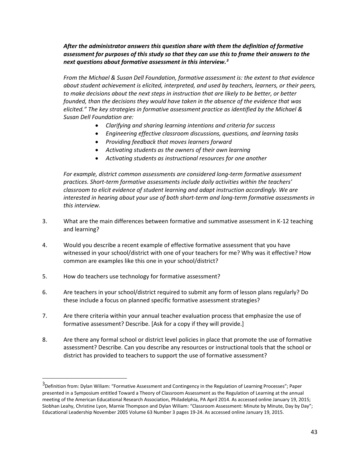## *After the administrator answers this question share with them the definition of formative assessment for purposes of this study so that they can use this to frame their answers to the next questions about formative assessment in this interview.[3](#page-43-0)*

*From the Michael & Susan Dell Foundation, formative assessment is: the extent to that evidence about student achievement is elicited, interpreted, and used by teachers, learners, or their peers,*  to make decisions about the next steps in instruction that are likely to be better, or better *founded, than the decisions they would have taken in the absence of the evidence that was elicited." The key strategies in formative assessment practice as identified by the Michael & Susan Dell Foundation are:*

- *Clarifying and sharing learning intentions and criteria for success*
- *Engineering effective classroom discussions, questions, and learning tasks*
- *Providing feedback that moves learners forward*
- *Activating students as the owners of their own learning*
- *Activating students as instructional resources for one another*

*For example, district common assessments are considered long-term formative assessment practices. Short-term formative assessments include daily activities within the teachers' classroom to elicit evidence of student learning and adapt instruction accordingly. We are interested in hearing about your use of both short-term and long-term formative assessments in this interview.* 

- 3. What are the main differences between formative and summative assessment in K-12 teaching and learning?
- 4. Would you describe a recent example of effective formative assessment that you have witnessed in your school/district with one of your teachers for me? Why was it effective? How common are examples like this one in your school/district?
- 5. How do teachers use technology for formative assessment?

 $\overline{\phantom{a}}$ 

- 6. Are teachers in your school/district required to submit any form of lesson plans regularly? Do these include a focus on planned specific formative assessment strategies?
- 7. Are there criteria within your annual teacher evaluation process that emphasize the use of formative assessment? Describe. [Ask for a copy if they will provide.]
- 8. Are there any formal school or district level policies in place that promote the use of formative assessment? Describe. Can you describe any resources or instructional tools that the school or district has provided to teachers to support the use of formative assessment?

<span id="page-43-0"></span><sup>&</sup>lt;sup>3</sup>Definition from: Dylan Wiliam: "Formative Assessment and Contingency in the Regulation of Learning Processes"; Paper presented in a Symposium entitled Toward a Theory of Classroom Assessment as the Regulation of Learning at the annual meeting of the American Educational Research Association, Philadelphia, PA April 2014. As accessed online January 19, 2015; Siobhan Leahy, Christine Lyon, Marnie Thompson and Dylan Wiliam: "Classroom Assessment: Minute by Minute, Day by Day"; Educational Leadership November 2005 Volume 63 Number 3 pages 19-24. As accessed online January 19, 2015.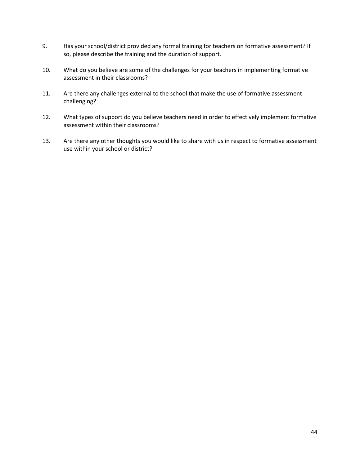- 9. Has your school/district provided any formal training for teachers on formative assessment? If so, please describe the training and the duration of support.
- 10. What do you believe are some of the challenges for your teachers in implementing formative assessment in their classrooms?
- 11. Are there any challenges external to the school that make the use of formative assessment challenging?
- 12. What types of support do you believe teachers need in order to effectively implement formative assessment within their classrooms?
- 13. Are there any other thoughts you would like to share with us in respect to formative assessment use within your school or district?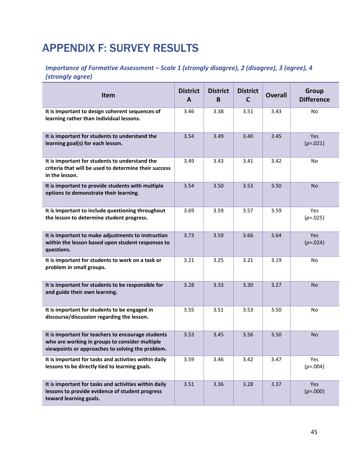# <span id="page-45-0"></span>APPENDIX F: SURVEY RESULTS

# *Importance of Formative Assessment – Scale 1 (strongly disagree), 2 (disagree), 3 (agree), 4 (strongly agree)*

| <b>Item</b>                                                                                                                                              | <b>District</b><br>A | <b>District</b><br>B | <b>District</b><br>C | <b>Overall</b> | <b>Group</b><br><b>Difference</b> |
|----------------------------------------------------------------------------------------------------------------------------------------------------------|----------------------|----------------------|----------------------|----------------|-----------------------------------|
| It is important to design coherent sequences of<br>learning rather than individual lessons.                                                              | 3.46                 | 3.38                 | 3.51                 | 3.43           | No                                |
| It is important for students to understand the<br>learning goal(s) for each lesson.                                                                      | 3.54                 | 3.49                 | 3.40                 | 3.45           | Yes<br>$(p=.021)$                 |
| It is important for students to understand the<br>criteria that will be used to determine their success<br>in the lesson.                                | 3.49                 | 3.43                 | 3.41                 | 3.42           | No                                |
| It is important to provide students with multiple<br>options to demonstrate their learning.                                                              | 3.54                 | 3.50                 | 3.53                 | 3.50           | No.                               |
| It is important to include questioning throughout<br>the lesson to determine student progress.                                                           | 3.69                 | 3.59                 | 3.57                 | 3.59           | <b>Yes</b><br>$(p=.025)$          |
| It is important to make adjustments to instruction<br>within the lesson based upon student responses to<br>questions.                                    | 3.73                 | 3.59                 | 3.66                 | 3.64           | <b>Yes</b><br>$(p=.024)$          |
| It is important for students to work on a task or<br>problem in small groups.                                                                            | 3.21                 | 3.25                 | 3.21                 | 3.19           | No                                |
| It is important for students to be responsible for<br>and guide their own learning.                                                                      | 3.28                 | 3.33                 | 3.30                 | 3.27           | <b>No</b>                         |
| It is important for students to be engaged in<br>discourse/discussion regarding the lesson.                                                              | 3.55                 | 3.51                 | 3.53                 | 3.50           | No                                |
| It is important for teachers to encourage students<br>who are working in groups to consider multiple<br>viewpoints or approaches to solving the problem. | 3.53                 | 3.45                 | 3.56                 | 3.50           | <b>No</b>                         |
| It is important for tasks and activities within daily<br>lessons to be directly tied to learning goals.                                                  | 3.59                 | 3.46                 | 3.42                 | 3.47           | Yes<br>$(p=.004)$                 |
| It is important for tasks and activities within daily<br>lessons to provide evidence of student progress<br>toward learning goals.                       | 3.51                 | 3.36                 | 3.28                 | 3.37           | Yes<br>$(p=.000)$                 |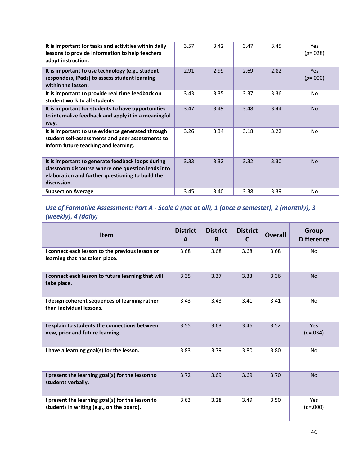| It is important for tasks and activities within daily<br>lessons to provide information to help teachers<br>adapt instruction.                                            | 3.57 | 3.42 | 3.47 | 3.45 | <b>Yes</b><br>$(p=.028)$ |
|---------------------------------------------------------------------------------------------------------------------------------------------------------------------------|------|------|------|------|--------------------------|
| It is important to use technology (e.g., student<br>responders, iPads) to assess student learning<br>within the lesson.                                                   | 2.91 | 2.99 | 2.69 | 2.82 | <b>Yes</b><br>$(p=.000)$ |
| It is important to provide real time feedback on<br>student work to all students.                                                                                         | 3.43 | 3.35 | 3.37 | 3.36 | No.                      |
| It is important for students to have opportunities<br>to internalize feedback and apply it in a meaningful<br>way.                                                        | 3.47 | 3.49 | 3.48 | 3.44 | <b>No</b>                |
| It is important to use evidence generated through<br>student self-assessments and peer assessments to<br>inform future teaching and learning.                             | 3.26 | 3.34 | 3.18 | 3.22 | No                       |
| It is important to generate feedback loops during<br>classroom discourse where one question leads into<br>elaboration and further questioning to build the<br>discussion. | 3.33 | 3.32 | 3.32 | 3.30 | <b>No</b>                |
| <b>Subsection Average</b>                                                                                                                                                 | 3.45 | 3.40 | 3.38 | 3.39 | No                       |

# *Use of Formative Assessment: Part A - Scale 0 (not at all), 1 (once a semester), 2 (monthly), 3 (weekly), 4 (daily)*

| <b>Item</b>                                                                                   | <b>District</b><br>A | <b>District</b><br>B. | <b>District</b><br>C | <b>Overall</b> | <b>Group</b><br><b>Difference</b> |
|-----------------------------------------------------------------------------------------------|----------------------|-----------------------|----------------------|----------------|-----------------------------------|
| I connect each lesson to the previous lesson or<br>learning that has taken place.             | 3.68                 | 3.68                  | 3.68                 | 3.68           | No                                |
| I connect each lesson to future learning that will<br>take place.                             | 3.35                 | 3.37                  | 3.33                 | 3.36           | <b>No</b>                         |
| I design coherent sequences of learning rather<br>than individual lessons.                    | 3.43                 | 3.43                  | 3.41                 | 3.41           | No                                |
| I explain to students the connections between<br>new, prior and future learning.              | 3.55                 | 3.63                  | 3.46                 | 3.52           | <b>Yes</b><br>$(p=.034)$          |
| I have a learning goal(s) for the lesson.                                                     | 3.83                 | 3.79                  | 3.80                 | 3.80           | No                                |
| I present the learning goal(s) for the lesson to<br>students verbally.                        | 3.72                 | 3.69                  | 3.69                 | 3.70           | <b>No</b>                         |
| I present the learning goal(s) for the lesson to<br>students in writing (e.g., on the board). | 3.63                 | 3.28                  | 3.49                 | 3.50           | Yes<br>$(p=.000)$                 |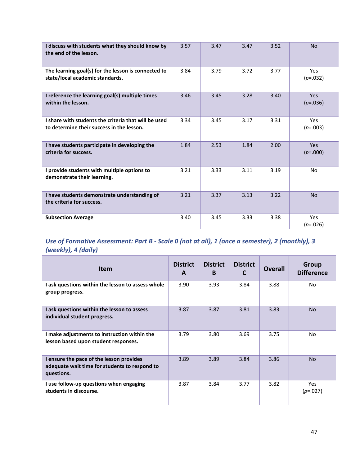| I discuss with students what they should know by<br>the end of the lesson.                        | 3.57 | 3.47 | 3.47 | 3.52 | <b>No</b>                |
|---------------------------------------------------------------------------------------------------|------|------|------|------|--------------------------|
| The learning goal(s) for the lesson is connected to<br>state/local academic standards.            | 3.84 | 3.79 | 3.72 | 3.77 | <b>Yes</b><br>$(p=.032)$ |
| I reference the learning goal(s) multiple times<br>within the lesson.                             | 3.46 | 3.45 | 3.28 | 3.40 | <b>Yes</b><br>$(p=.036)$ |
| I share with students the criteria that will be used<br>to determine their success in the lesson. | 3.34 | 3.45 | 3.17 | 3.31 | Yes<br>$(p=.003)$        |
| I have students participate in developing the<br>criteria for success.                            | 1.84 | 2.53 | 1.84 | 2.00 | Yes.<br>$(p=.000)$       |
| I provide students with multiple options to<br>demonstrate their learning.                        | 3.21 | 3.33 | 3.11 | 3.19 | No                       |
| I have students demonstrate understanding of<br>the criteria for success.                         | 3.21 | 3.37 | 3.13 | 3.22 | <b>No</b>                |
| <b>Subsection Average</b>                                                                         | 3.40 | 3.45 | 3.33 | 3.38 | Yes<br>$(p=.026)$        |

# *Use of Formative Assessment: Part B - Scale 0 (not at all), 1 (once a semester), 2 (monthly), 3 (weekly), 4 (daily)*

| <b>Item</b>                                                                                             | <b>District</b><br>A | <b>District</b><br>B | <b>District</b><br>C | <b>Overall</b> | Group<br><b>Difference</b> |
|---------------------------------------------------------------------------------------------------------|----------------------|----------------------|----------------------|----------------|----------------------------|
| I ask questions within the lesson to assess whole<br>group progress.                                    | 3.90                 | 3.93                 | 3.84                 | 3.88           | No.                        |
| I ask questions within the lesson to assess<br>individual student progress.                             | 3.87                 | 3.87                 | 3.81                 | 3.83           | <b>No</b>                  |
| I make adjustments to instruction within the<br>lesson based upon student responses.                    | 3.79                 | 3.80                 | 3.69                 | 3.75           | No.                        |
| I ensure the pace of the lesson provides<br>adequate wait time for students to respond to<br>questions. | 3.89                 | 3.89                 | 3.84                 | 3.86           | <b>No</b>                  |
| I use follow-up questions when engaging<br>students in discourse.                                       | 3.87                 | 3.84                 | 3.77                 | 3.82           | <b>Yes</b><br>$(p=.027)$   |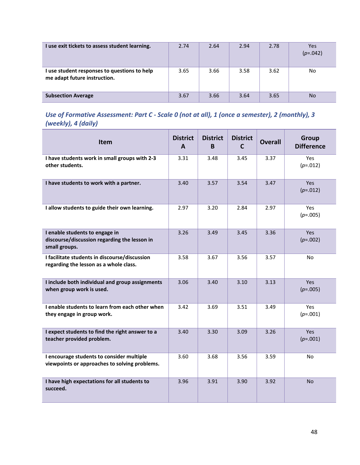| I use exit tickets to assess student learning.                               | 2.74 | 2.64 | 2.94 | 2.78 | Yes<br>$(p=.042)$ |
|------------------------------------------------------------------------------|------|------|------|------|-------------------|
| I use student responses to questions to help<br>me adapt future instruction. | 3.65 | 3.66 | 3.58 | 3.62 | No                |
| <b>Subsection Average</b>                                                    | 3.67 | 3.66 | 3.64 | 3.65 | <b>No</b>         |

# *Use of Formative Assessment: Part C - Scale 0 (not at all), 1 (once a semester), 2 (monthly), 3 (weekly), 4 (daily)*

| Item                                                                                            | <b>District</b><br>A | <b>District</b><br>B | <b>District</b><br>C | <b>Overall</b> | Group<br><b>Difference</b> |
|-------------------------------------------------------------------------------------------------|----------------------|----------------------|----------------------|----------------|----------------------------|
| I have students work in small groups with 2-3<br>other students.                                | 3.31                 | 3.48                 | 3.45                 | 3.37           | Yes<br>$(p=.012)$          |
| I have students to work with a partner.                                                         | 3.40                 | 3.57                 | 3.54                 | 3.47           | Yes<br>$(p=.012)$          |
| I allow students to guide their own learning.                                                   | 2.97                 | 3.20                 | 2.84                 | 2.97           | Yes<br>$(p=.005)$          |
| I enable students to engage in<br>discourse/discussion regarding the lesson in<br>small groups. | 3.26                 | 3.49                 | 3.45                 | 3.36           | <b>Yes</b><br>$(p=.002)$   |
| I facilitate students in discourse/discussion<br>regarding the lesson as a whole class.         | 3.58                 | 3.67                 | 3.56                 | 3.57           | No                         |
| I include both individual and group assignments<br>when group work is used.                     | 3.06                 | 3.40                 | 3.10                 | 3.13           | <b>Yes</b><br>$(p=.005)$   |
| I enable students to learn from each other when<br>they engage in group work.                   | 3.42                 | 3.69                 | 3.51                 | 3.49           | Yes<br>$(p=.001)$          |
| I expect students to find the right answer to a<br>teacher provided problem.                    | 3.40                 | 3.30                 | 3.09                 | 3.26           | Yes<br>$(p=.001)$          |
| I encourage students to consider multiple<br>viewpoints or approaches to solving problems.      | 3.60                 | 3.68                 | 3.56                 | 3.59           | N <sub>o</sub>             |
| I have high expectations for all students to<br>succeed.                                        | 3.96                 | 3.91                 | 3.90                 | 3.92           | No.                        |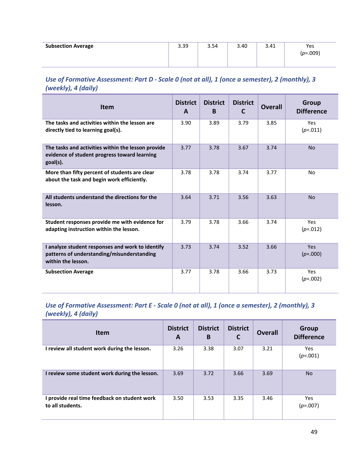| <b>Subsection Average</b> | 3.39 | 3.54 | 3.40 | 3.41 | Yes<br>$(p=.009)$ |
|---------------------------|------|------|------|------|-------------------|
|                           |      |      |      |      |                   |

# *Use of Formative Assessment: Part D - Scale 0 (not at all), 1 (once a semester), 2 (monthly), 3 (weekly), 4 (daily)*

| <b>Item</b>                                                                                                          | <b>District</b><br>A | <b>District</b><br>B | <b>District</b><br>C | <b>Overall</b> | <b>Group</b><br><b>Difference</b> |
|----------------------------------------------------------------------------------------------------------------------|----------------------|----------------------|----------------------|----------------|-----------------------------------|
| The tasks and activities within the lesson are<br>directly tied to learning goal(s).                                 | 3.90                 | 3.89                 | 3.79                 | 3.85           | Yes<br>$(p=.011)$                 |
| The tasks and activities within the lesson provide<br>evidence of student progress toward learning<br>$goal(s)$ .    | 3.77                 | 3.78                 | 3.67                 | 3.74           | <b>No</b>                         |
| More than fifty percent of students are clear<br>about the task and begin work efficiently.                          | 3.78                 | 3.78                 | 3.74                 | 3.77           | No                                |
| All students understand the directions for the<br>lesson.                                                            | 3.64                 | 3.71                 | 3.56                 | 3.63           | <b>No</b>                         |
| Student responses provide me with evidence for<br>adapting instruction within the lesson.                            | 3.79                 | 3.78                 | 3.66                 | 3.74           | <b>Yes</b><br>$(p=.012)$          |
| I analyze student responses and work to identify<br>patterns of understanding/misunderstanding<br>within the lesson. | 3.73                 | 3.74                 | 3.52                 | 3.66           | <b>Yes</b><br>$(p=.000)$          |
| <b>Subsection Average</b>                                                                                            | 3.77                 | 3.78                 | 3.66                 | 3.73           | <b>Yes</b><br>$(p=.002)$          |

# *Use of Formative Assessment: Part E - Scale 0 (not at all), 1 (once a semester), 2 (monthly), 3 (weekly), 4 (daily)*

| <b>Item</b>                                                    | <b>District</b><br>A | <b>District</b><br>B | <b>District</b><br>$\mathsf{C}$ | <b>Overall</b> | Group<br><b>Difference</b> |
|----------------------------------------------------------------|----------------------|----------------------|---------------------------------|----------------|----------------------------|
| I review all student work during the lesson.                   | 3.26                 | 3.38                 | 3.07                            | 3.21           | Yes.<br>$(p=.001)$         |
| I review some student work during the lesson.                  | 3.69                 | 3.72                 | 3.66                            | 3.69           | <b>No</b>                  |
| provide real time feedback on student work<br>to all students. | 3.50                 | 3.53                 | 3.35                            | 3.46           | Yes<br>$(p=.007)$          |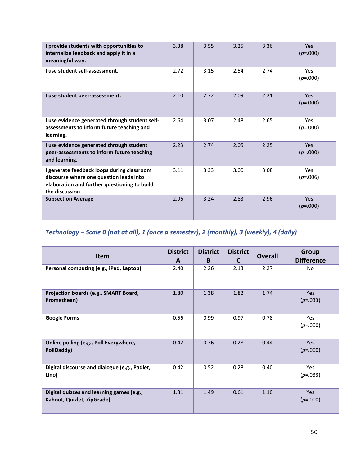| I provide students with opportunities to<br>internalize feedback and apply it in a<br>meaningful way.                                                    | 3.38 | 3.55 | 3.25 | 3.36 | <b>Yes</b><br>$(p=.000)$ |
|----------------------------------------------------------------------------------------------------------------------------------------------------------|------|------|------|------|--------------------------|
| I use student self-assessment.                                                                                                                           | 2.72 | 3.15 | 2.54 | 2.74 | <b>Yes</b><br>$(p=.000)$ |
| I use student peer-assessment.                                                                                                                           | 2.10 | 2.72 | 2.09 | 2.21 | <b>Yes</b><br>$(p=.000)$ |
| I use evidence generated through student self-<br>assessments to inform future teaching and<br>learning.                                                 | 2.64 | 3.07 | 2.48 | 2.65 | <b>Yes</b><br>$(p=.000)$ |
| I use evidence generated through student<br>peer-assessments to inform future teaching<br>and learning.                                                  | 2.23 | 2.74 | 2.05 | 2.25 | <b>Yes</b><br>$(p=.000)$ |
| I generate feedback loops during classroom<br>discourse where one question leads into<br>elaboration and further questioning to build<br>the discussion. | 3.11 | 3.33 | 3.00 | 3.08 | Yes<br>$(p=.006)$        |
| <b>Subsection Average</b>                                                                                                                                | 2.96 | 3.24 | 2.83 | 2.96 | <b>Yes</b><br>$(p=.000)$ |

# *Technology – Scale 0 (not at all), 1 (once a semester), 2 (monthly), 3 (weekly), 4 (daily)*

| <b>Item</b>                                                             | <b>District</b><br>A | <b>District</b><br>B. | <b>District</b><br>C | <b>Overall</b> | <b>Group</b><br><b>Difference</b> |
|-------------------------------------------------------------------------|----------------------|-----------------------|----------------------|----------------|-----------------------------------|
| Personal computing (e.g., iPad, Laptop)                                 | 2.40                 | 2.26                  | 2.13                 | 2.27           | No                                |
| Projection boards (e.g., SMART Board,<br>Promethean)                    | 1.80                 | 1.38                  | 1.82                 | 1.74           | Yes<br>$(p=.033)$                 |
| <b>Google Forms</b>                                                     | 0.56                 | 0.99                  | 0.97                 | 0.78           | Yes<br>$(p=.000)$                 |
| Online polling (e.g., Poll Everywhere,<br>PollDaddy)                    | 0.42                 | 0.76                  | 0.28                 | 0.44           | <b>Yes</b><br>$(p=.000)$          |
| Digital discourse and dialogue (e.g., Padlet,<br>Lino)                  | 0.42                 | 0.52                  | 0.28                 | 0.40           | Yes<br>$(p=.033)$                 |
| Digital quizzes and learning games (e.g.,<br>Kahoot, Quizlet, ZipGrade) | 1.31                 | 1.49                  | 0.61                 | 1.10           | <b>Yes</b><br>$(p=.000)$          |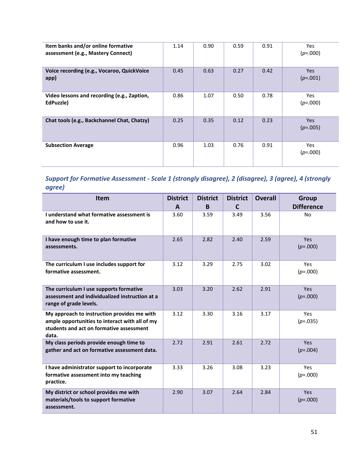| Item banks and/or online formative<br>assessment (e.g., Mastery Connect) | 1.14 | 0.90 | 0.59 | 0.91 | <b>Yes</b><br>$(p=.000)$ |
|--------------------------------------------------------------------------|------|------|------|------|--------------------------|
| Voice recording (e.g., Vocaroo, QuickVoice<br>app)                       | 0.45 | 0.63 | 0.27 | 0.42 | Yes<br>$(p=.001)$        |
| Video lessons and recording (e.g., Zaption,<br>EdPuzzle)                 | 0.86 | 1.07 | 0.50 | 0.78 | <b>Yes</b><br>$(p=.000)$ |
| Chat tools (e.g., Backchannel Chat, Chatzy)                              | 0.25 | 0.35 | 0.12 | 0.23 | Yes<br>$(p=.005)$        |
| <b>Subsection Average</b>                                                | 0.96 | 1.03 | 0.76 | 0.91 | <b>Yes</b><br>$(p=.000)$ |

*Support for Formative Assessment - Scale 1 (strongly disagree), 2 (disagree), 3 (agree), 4 (strongly agree)*

| <b>Item</b>                                                                                                                                        | <b>District</b> | <b>District</b> | <b>District</b> | <b>Overall</b> | <b>Group</b>             |
|----------------------------------------------------------------------------------------------------------------------------------------------------|-----------------|-----------------|-----------------|----------------|--------------------------|
|                                                                                                                                                    | A               | B.              | $\mathbf{C}$    |                | <b>Difference</b>        |
| I understand what formative assessment is<br>and how to use it.                                                                                    | 3.60            | 3.59            | 3.49            | 3.56           | No                       |
| I have enough time to plan formative<br>assessments.                                                                                               | 2.65            | 2.82            | 2.40            | 2.59           | <b>Yes</b><br>$(p=.000)$ |
| The curriculum I use includes support for<br>formative assessment.                                                                                 | 3.12            | 3.29            | 2.75            | 3.02           | Yes<br>$(p=.000)$        |
| The curriculum I use supports formative<br>assessment and individualized instruction at a<br>range of grade levels.                                | 3.03            | 3.20            | 2.62            | 2.91           | <b>Yes</b><br>$(p=.000)$ |
| My approach to instruction provides me with<br>ample opportunities to interact with all of my<br>students and act on formative assessment<br>data. | 3.12            | 3.30            | 3.16            | 3.17           | <b>Yes</b><br>$(p=.035)$ |
| My class periods provide enough time to<br>gather and act on formative assessment data.                                                            | 2.72            | 2.91            | 2.61            | 2.72           | <b>Yes</b><br>$(p=.004)$ |
| I have administrator support to incorporate<br>formative assessment into my teaching<br>practice.                                                  | 3.33            | 3.26            | 3.08            | 3.23           | <b>Yes</b><br>$(p=.000)$ |
| My district or school provides me with<br>materials/tools to support formative<br>assessment.                                                      | 2.90            | 3.07            | 2.64            | 2.84           | <b>Yes</b><br>$(p=.000)$ |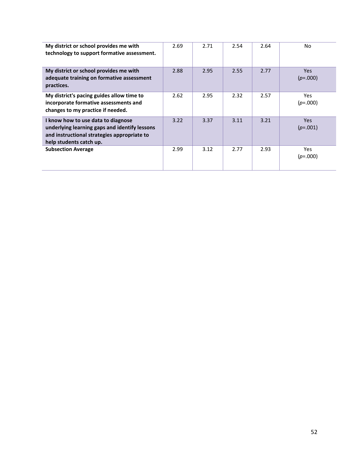| My district or school provides me with<br>technology to support formative assessment.                                                                         | 2.69 | 2.71 | 2.54 | 2.64 | No.                      |
|---------------------------------------------------------------------------------------------------------------------------------------------------------------|------|------|------|------|--------------------------|
| My district or school provides me with<br>adequate training on formative assessment<br>practices.                                                             | 2.88 | 2.95 | 2.55 | 2.77 | <b>Yes</b><br>$(p=.000)$ |
| My district's pacing guides allow time to<br>incorporate formative assessments and<br>changes to my practice if needed.                                       | 2.62 | 2.95 | 2.32 | 2.57 | Yes.<br>$(p=.000)$       |
| I know how to use data to diagnose<br>underlying learning gaps and identify lessons<br>and instructional strategies appropriate to<br>help students catch up. | 3.22 | 3.37 | 3.11 | 3.21 | Yes.<br>$(p=.001)$       |
| <b>Subsection Average</b>                                                                                                                                     | 2.99 | 3.12 | 2.77 | 2.93 | Yes.<br>$(p=.000)$       |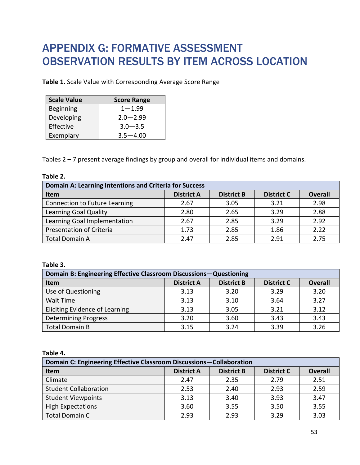# <span id="page-53-0"></span>APPENDIX G: FORMATIVE ASSESSMENT OBSERVATION RESULTS BY ITEM ACROSS LOCATION

**Table 1.** Scale Value with Corresponding Average Score Range

| <b>Scale Value</b> | <b>Score Range</b> |
|--------------------|--------------------|
| <b>Beginning</b>   | $1 - 1.99$         |
| Developing         | $2.0 - 2.99$       |
| Effective          | $3.0 - 3.5$        |
| Exemplary          | $3.5 - 4.00$       |

Tables 2 – 7 present average findings by group and overall for individual items and domains.

| Table |  |
|-------|--|
|-------|--|

| Domain A: Learning Intentions and Criteria for Success |                   |                   |                   |                |
|--------------------------------------------------------|-------------------|-------------------|-------------------|----------------|
| <b>Item</b>                                            | <b>District A</b> | <b>District B</b> | <b>District C</b> | <b>Overall</b> |
| Connection to Future Learning                          | 2.67              | 3.05              | 3.21              | 2.98           |
| Learning Goal Quality                                  | 2.80              | 2.65              | 3.29              | 2.88           |
| Learning Goal Implementation                           | 2.67              | 2.85              | 3.29              | 2.92           |
| <b>Presentation of Criteria</b>                        | 1.73              | 2.85              | 1.86              | 2.22           |
| <b>Total Domain A</b>                                  | 2.47              | 2.85              | 2.91              | 2.75           |

### **Table 3.**

| Domain B: Engineering Effective Classroom Discussions-Questioning |                   |                   |                   |                |
|-------------------------------------------------------------------|-------------------|-------------------|-------------------|----------------|
| Item                                                              | <b>District A</b> | <b>District B</b> | <b>District C</b> | <b>Overall</b> |
| Use of Questioning                                                | 3.13              | 3.20              | 3.29              | 3.20           |
| Wait Time                                                         | 3.13              | 3.10              | 3.64              | 3.27           |
| <b>Eliciting Evidence of Learning</b>                             | 3.13              | 3.05              | 3.21              | 3.12           |
| <b>Determining Progress</b>                                       | 3.20              | 3.60              | 3.43              | 3.43           |
| <b>Total Domain B</b>                                             | 3.15              | 3.24              | 3.39              | 3.26           |

**Table 4.** 

| Domain C: Engineering Effective Classroom Discussions-Collaboration |                   |                   |                   |                |
|---------------------------------------------------------------------|-------------------|-------------------|-------------------|----------------|
| <b>Item</b>                                                         | <b>District A</b> | <b>District B</b> | <b>District C</b> | <b>Overall</b> |
| Climate                                                             | 2.47              | 2.35              | 2.79              | 2.51           |
| <b>Student Collaboration</b>                                        | 2.53              | 2.40              | 2.93              | 2.59           |
| <b>Student Viewpoints</b>                                           | 3.13              | 3.40              | 3.93              | 3.47           |
| <b>High Expectations</b>                                            | 3.60              | 3.55              | 3.50              | 3.55           |
| <b>Total Domain C</b>                                               | 2.93              | 2.93              | 3.29              | 3.03           |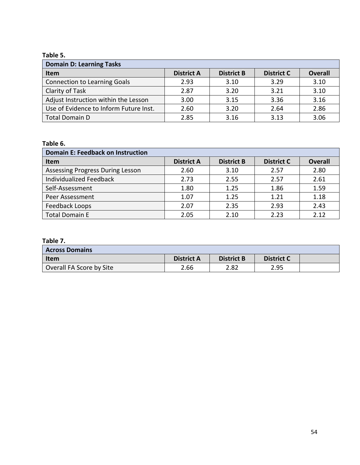# **Table 5.**

| <b>Domain D: Learning Tasks</b>        |                   |                   |                   |                |
|----------------------------------------|-------------------|-------------------|-------------------|----------------|
| <b>Item</b>                            | <b>District A</b> | <b>District B</b> | <b>District C</b> | <b>Overall</b> |
| <b>Connection to Learning Goals</b>    | 2.93              | 3.10              | 3.29              | 3.10           |
| Clarity of Task                        | 2.87              | 3.20              | 3.21              | 3.10           |
| Adjust Instruction within the Lesson   | 3.00              | 3.15              | 3.36              | 3.16           |
| Use of Evidence to Inform Future Inst. | 2.60              | 3.20              | 2.64              | 2.86           |
| <b>Total Domain D</b>                  | 2.85              | 3.16              | 3.13              | 3.06           |

# **Table 6.**

| <b>Domain E: Feedback on Instruction</b> |                   |                   |                   |                |
|------------------------------------------|-------------------|-------------------|-------------------|----------------|
| Item                                     | <b>District A</b> | <b>District B</b> | <b>District C</b> | <b>Overall</b> |
| <b>Assessing Progress During Lesson</b>  | 2.60              | 3.10              | 2.57              | 2.80           |
| <b>Individualized Feedback</b>           | 2.73              | 2.55              | 2.57              | 2.61           |
| Self-Assessment                          | 1.80              | 1.25              | 1.86              | 1.59           |
| <b>Peer Assessment</b>                   | 1.07              | 1.25              | 1.21              | 1.18           |
| Feedback Loops                           | 2.07              | 2.35              | 2.93              | 2.43           |
| <b>Total Domain E</b>                    | 2.05              | 2.10              | 2.23              | 2.12           |

# **Table 7.**

| <b>Across Domains</b>    |                   |                   |                   |  |
|--------------------------|-------------------|-------------------|-------------------|--|
| Item                     | <b>District A</b> | <b>District B</b> | <b>District C</b> |  |
| Overall FA Score by Site | 2.66              | 2.82              | 2.95              |  |